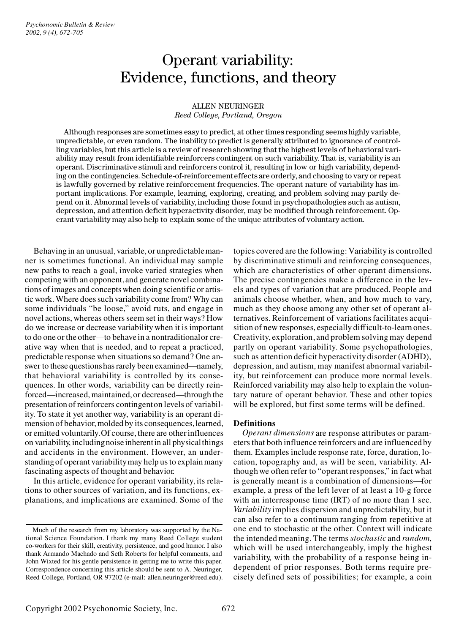# Operant variability: Evidence, functions, and theory

## ALLEN NEURINGER *Reed College, Portland, Oregon*

Although responses are sometimes easy to predict, at other times responding seems highly variable, unpredictable, or even random. The inability to predict is generally attributed to ignorance of controlling variables, but this article is a review of research showing that the highest levels of behavioral variability may result from identifiable reinforcers contingent on such variability. That is, variability is an operant. Discriminative stimuli and reinforcers control it, resulting in low or high variability, depending on the contingencies. Schedule-of-reinforcement effects are orderly, and choosing to vary or repeat is lawfully governed by relative reinforcement frequencies. The operant nature of variability has important implications. For example, learning, exploring, creating, and problem solving may partly depend on it. Abnormal levels of variability, including those found in psychopathologies such as autism, depression, and attention deficit hyperactivity disorder, may be modified through reinforcement. Operant variability may also help to explain some of the unique attributes of voluntary action.

Behaving in an unusual, variable, or unpredictable manner is sometimes functional. An individual may sample new paths to reach a goal, invoke varied strategies when competing with an opponent, and generate novel combinations of images and concepts when doing scientific or artistic work. Where does such variability come from? Why can some individuals "be loose," avoid ruts, and engage in novel actions, whereas others seem set in their ways? How do we increase or decrease variability when it is important to do one or the other—to behave in a nontraditional or creative way when that is needed, and to repeat a practiced, predictable response when situations so demand? One answer to these questions has rarely been examined—namely, that behavioral variability is controlled by its consequences. In other words, variability can be directly reinforced—increased, maintained, or decreased—through the presentation of reinforcers contingent on levels of variability. To state it yet another way, variability is an operant dimension of behavior, molded by its consequences, learned, or emitted voluntarily. Of course, there are other influences on variability, including noise inherent in all physical things and accidents in the environment. However, an understanding of operant variability may help us to explain many fascinating aspects of thought and behavior.

In this article, evidence for operant variability, its relations to other sources of variation, and its functions, explanations, and implications are examined. Some of the

topics covered are the following: Variability is controlled by discriminative stimuli and reinforcing consequences, which are characteristics of other operant dimensions. The precise contingencies make a difference in the levels and types of variation that are produced. People and animals choose whether, when, and how much to vary, much as they choose among any other set of operant alternatives. Reinforcement of variations facilitates acquisition of new responses, especially difficult-to-learn ones. Creativity, exploration, and problem solving may depend partly on operant variability. Some psychopathologies, such as attention deficit hyperactivity disorder (ADHD), depression, and autism, may manifest abnormal variability, but reinforcement can produce more normal levels. Reinforced variability may also help to explain the voluntary nature of operant behavior. These and other topics will be explored, but first some terms will be defined.

# **Definitions**

*Operant dimensions* are response attributes or parameters that both influence reinforcers and are influenced by them. Examples include response rate, force, duration, location, topography and, as will be seen, variability. Although we often refer to "operant responses," in fact what is generally meant is a combination of dimensions—for example, a press of the left lever of at least a 10-g force with an interresponse time (IRT) of no more than 1 sec. *Variability* implies dispersion and unpredictability, but it can also refer to a continuum ranging from repetitive at one end to stochastic at the other. Context will indicate the intended meaning. The terms *stochastic* and *random*, which will be used interchangeably, imply the highest variability, with the probability of a response being independent of prior responses. Both terms require precisely defined sets of possibilities; for example, a coin

Much of the research from my laboratory was supported by the National Science Foundation. I thank my many Reed College student co-workers for their skill, creativity, persistence, and good humor. I also thank Armando Machado and Seth Roberts for helpful comments, and John Wixted for his gentle persistence in getting me to write this paper. Correspondence concerning this article should be sent to A. Neuringer, Reed College, Portland, OR 97202 (e-mail: allen.neuringer@reed.edu).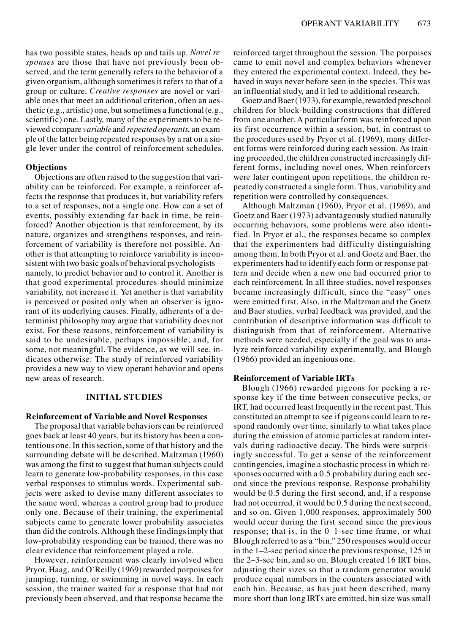has two possible states, heads up and tails up. *Novel re sponses* are those that have not previously been observed, and the term generally refers to the behavior of a given organism, although sometimes it refers to that of a group or culture. *Creative responses* are novel or variable ones that meet an additional criterion, often an aesthetic (e.g., artistic) one, but sometimes a functional (e.g., scientific) one. Lastly, many of the experiments to be reviewed compare *variable* and *repeated operants*, an example of the latter being repeated responses by a rat on a single lever under the control of reinforcement schedules.

# **Objections**

Objections are often raised to the suggestion that variability can be reinforced. For example, a reinforcer affects the response that produces it, but variability refers to a set of responses, not a single one. How can a set of events, possibly extending far back in time, be reinforced? Another objection is that reinforcement, by its nature, organizes and strengthens responses, and reinforcement of variability is therefore not possible. Another is that attempting to reinforce variability is inconsistent with two basic goals of behavioral psychologists namely, to predict behavior and to control it. Another is that good experimental procedures should minimize variability, not increase it. Yet another is that variability is perceived or posited only when an observer is ignorant of its underlying causes. Finally, adherents of a determinist philosophy may argue that variability does not exist. For these reasons, reinforcement of variability is said to be undesirable, perhaps impossible, and, for some, not meaningful. The evidence, as we will see, indicates otherwise: The study of reinforced variability provides a new way to view operant behavior and opens new areas of research.

# **INITIAL STUDIES**

## **Reinforcement of Variable and Novel Responses**

The proposal that variable behaviors can be reinforced goes back at least 40 years, but its history has been a contentious one. In this section, some of that history and the surrounding debate will be described. Maltzman (1960) was among the first to suggest that human subjects could learn to generate low-probability responses, in this case verbal responses to stimulus words. Experimental subjects were asked to devise many different associates to the same word, whereas a control group had to produce only one. Because of their training, the experimental subjects came to generate lower probability associates than did the controls. Although these findings imply that low-probability responding can be trained, there was no clear evidence that reinforcement played a role.

However, reinforcement was clearly involved when Pryor, Haag, and O'Reilly (1969) rewarded porpoises for jumping, turning, or swimming in novel ways. In each session, the trainer waited for a response that had not previously been observed, and that response became the

reinforced target throughout the session. The porpoises came to emit novel and complex behaviors whenever they entered the experimental context. Indeed, they behaved in ways never before seen in the species. This was an influential study, and it led to additional research.

Goetz and Baer (1973), for example, rewarded preschool children for block-building constructions that differed from one another. A particular form was reinforced upon its first occurrence within a session, but, in contrast to the procedures used by Pryor et al. (1969), many different forms were reinforced during each session. As training proceeded, the children constructed increasingly different forms, including novel ones. When reinforcers were later contingent upon repetitions, the children repeatedly constructed a single form. Thus, variability and repetition were controlled by consequences.

Although Maltzman (1960), Pryor et al. (1969), and Goetz and Baer (1973) advantageously studied naturally occurring behaviors, some problems were also identified. In Pryor et al., the responses became so complex that the experimenters had difficulty distinguishing among them. In both Pryor et al. and Goetz and Baer, the experimenters had to identify each form or response pattern and decide when a new one had occurred prior to each reinforcement. In all three studies, novel responses became increasingly difficult, since the "easy" ones were emitted first. Also, in the Maltzman and the Goetz and Baer studies, verbal feedback was provided, and the contribution of descriptive information was difficult to distinguish from that of reinforcement. Alternative methods were needed, especially if the goal was to analyze reinforced variability experimentally, and Blough (1966) provided an ingenious one.

## **Reinforcement of Variable IRTs**

Blough (1966) rewarded pigeons for pecking a response key if the time between consecutive pecks, or IRT, had occurred least frequently in the recent past. This constituted an attempt to see if pigeons could learn to respond randomly over time, similarly to what takes place during the emission of atomic particles at random intervals during radioactive decay. The birds were surprisingly successful. To get a sense of the reinforcement contingencies, imagine a stochastic process in which responses occurred with a 0.5 probability during each second since the previous response. Response probability would be 0.5 during the first second, and, if a response had not occurred, it would be 0.5 during the next second, and so on. Given 1,000 responses, approximately 500 would occur during the first second since the previous response; that is, in the 0–1-sec time frame, or what Blough referred to as a "bin," 250 responses would occur in the 1–2-sec period since the previous response, 125 in the 2–3-sec bin, and so on. Blough created 16 IRT bins, adjusting their sizes so that a random generator would produce equal numbers in the counters associated with each bin. Because, as has just been described, many more short than long IRTs are emitted, bin size was small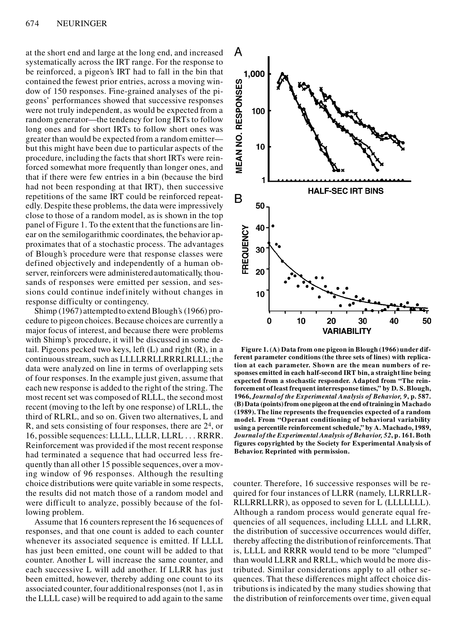at the short end and large at the long end, and increased  $\overrightarrow{A}$ systematically across the IRT range. For the response to be reinforced, a pigeon's IRT had to fall in the bin that contained the fewest prior entries, across a moving window of 150 responses. Fine-grained analyses of the pigeons' performances showed that successive responses contained the fewest prior entries, across a moving win-<br>dow of 150 responses. Fine-grained analyses of the pi-<br>geons' performances showed that successive responses<br>were not truly independent, as would be expected from a<br> random generator—the tendency for long IRTs to follow long ones and for short IRTs to follow short ones was greater than would be expected from a random emitter but this might have been due to particular aspects of the procedure, including the facts that short IRTs were reinforced somewhat more frequently than longer ones, and that if there were few entries in a bin (because the bird had not been responding at that IRT), then successive repetitions of the same IRT could be reinforced repeatrepetitions of the same IRT could be reinforced repeatedly. Despite these problems, the data were impressively close to those of a random model, as is shown in the top panel of Figure 1. To the extent that the functions are linear on the semilogarithmic coordinates, the behavior approximates that of a stochastic process. The advantages of Blough's procedure were that response classes were defined objectively and independently of a human observer, reinforcers were administered automatically, thousands of responses were emitted per session, and sessions could continue indefinitely without changes in response difficulty or contingency.

Shimp (1967) attempted to extend Blough's (1966) procedure to pigeon choices. Because choices are currently a major focus of interest, and because there were problems with Shimp's procedure, it will be discussed in some detail. Pigeons pecked two keys, left  $(L)$  and right  $(R)$ , in a continuous stream, such as LLLLRRLLRRRLRLLL; the data were analyzed on line in terms of overlapping sets of four responses. In the example just given, assume that each new response is added to the right of the string. The most recent set was composed of RLLL, the second most recent (moving to the left by one response) of LRLL, the third of RLRL, and so on. Given two alternatives, L and R, and sets consisting of four responses, there are 24, or 16, possible sequences: LLLL, LLLR, LLRL . . . RRRR. Reinforcement was provided if the most recent response had terminated a sequence that had occurred less frequently than all other 15 possible sequences, over a moving window of 96 responses. Although the resulting choice distributions were quite variable in some respects, the results did not match those of a random model and were difficult to analyze, possibly because of the following problem.

Assume that 16 counters represent the 16 sequences of responses, and that one count is added to each counter whenever its associated sequence is emitted. If LLLL has just been emitted, one count will be added to that counter. Another L will increase the same counter, and each successive L will add another. If LLRR has just been emitted, however, thereby adding one count to its associated counter, four additional responses (not 1, as in the LLLL case) will be required to add again to the same



**Figure 1. (A) Data from one pigeon in Blough (1966) under different parameter conditions (the three sets of lines) with replication at each parameter. Shown are the mean numbers of re sponses emitted in each half-second IRT bin, a straight line being expected from a stochastic responder. Adapted from "The reinforcement of least frequent interresponse times," by D. S. Blough, 1966,** *Journal of the Experimental Analysis of Behavior, 9***, p. 587. (B) Data (points) from one pigeon at the end of training in Machado (1989). The line represents the frequencies expected of a random model. From "Operant conditioning of behavioral variability using a percentile reinforcement schedule," by A. Machado, 1989,** *Journal of the Experimental Analysis of Behavior, 52***, p. 161. Both figures copyrighted by the Society for Experimental Analysis of Behavior. Reprinted with permission.**

counter. Therefore, 16 successive responses will be required for four instances of LLRR (namely, LLRRLLR-RLLRRLLRR), as opposed to seven for L (LLLLLLL). Although a random process would generate equal frequencies of all sequences, including LLLL and LLRR, the distribution of successive occurrences would differ, thereby affecting the distributionof reinforcements. That is, LLLL and RRRR would tend to be more "clumped" than would LLRR and RRLL, which would be more distributed. Similar considerations apply to all other sequences. That these differences might affect choice distributions is indicated by the many studies showing that the distribution of reinforcements over time, given equal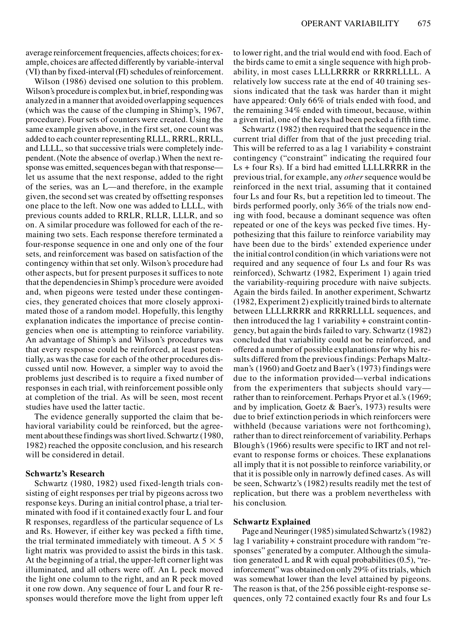average reinforcement frequencies, affects choices; for example, choices are affected differently by variable-interval (VI) than by fixed-interval (FI) schedules of reinforcement.

Wilson (1986) devised one solution to this problem. Wilson's procedure is complex but, in brief, responding was analyzed in a manner that avoided overlapping sequences (which was the cause of the clumping in Shimp's, 1967, procedure). Four sets of counters were created. Using the same example given above, in the first set, one count was added to each counter representing RLLL, RRRL, RRLL, and LLLL, so that successive trials were completely independent. (Note the absence of overlap.) When the next response was emitted, sequences began with that response let us assume that the next response, added to the right of the series, was an L—and therefore, in the example given, the second set was created by offsetting responses one place to the left. Now one was added to LLLL, with previous counts added to RRLR, RLLR, LLLR, and so on. A similar procedure was followed for each of the remaining two sets. Each response therefore terminated a four-response sequence in one and only one of the four sets, and reinforcement was based on satisfaction of the contingency within that set only. Wilson's procedure had other aspects, but for present purposes it suffices to note that the dependencies in Shimp's procedure were avoided and, when pigeons were tested under these contingencies, they generated choices that more closely approximated those of a random model. Hopefully, this lengthy explanation indicates the importance of precise contingencies when one is attempting to reinforce variability. An advantage of Shimp's and Wilson's procedures was that every response could be reinforced, at least potentially, as was the case for each of the other procedures discussed until now. However, a simpler way to avoid the problems just described is to require a fixed number of responses in each trial, with reinforcement possible only at completion of the trial. As will be seen, most recent studies have used the latter tactic.

The evidence generally supported the claim that behavioral variability could be reinforced, but the agreement about these findings was short lived. Schwartz (1980, 1982) reached the opposite conclusion, and his research will be considered in detail.

# **Schwartz's Research**

Schwartz (1980, 1982) used fixed-length trials consisting of eight responses per trial by pigeons across two response keys. During an initial control phase, a trial terminated with food if it contained exactly four L and four R responses, regardless of the particular sequence of Ls and Rs. However, if either key was pecked a fifth time, the trial terminated immediately with timeout. A  $5 \times 5$ light matrix was provided to assist the birds in this task. At the beginning of a trial, the upper-left corner light was illuminated, and all others were off. An L peck moved the light one column to the right, and an R peck moved it one row down. Any sequence of four L and four R responses would therefore move the light from upper left to lower right, and the trial would end with food. Each of the birds came to emit a single sequence with high probability, in most cases LLLLRRRR or RRRRLLLL. A relatively low success rate at the end of 40 training sessions indicated that the task was harder than it might have appeared: Only 66% of trials ended with food, and the remaining 34% ended with timeout, because, within a given trial, one of the keys had been pecked a fifth time.

Schwartz (1982) then required that the sequence in the current trial differ from that of the just preceding trial. This will be referred to as a lag 1 variability + constraint contingency ("constraint" indicating the required four Ls + four Rs). If a bird had emitted LLLLRRRR in the previous trial, for example, any *other*sequence would be reinforced in the next trial, assuming that it contained four Ls and four Rs, but a repetition led to timeout. The birds performed poorly, only 36% of the trials now ending with food, because a dominant sequence was often repeated or one of the keys was pecked five times. Hypothesizing that this failure to reinforce variability may have been due to the birds' extended experience under the initial control condition (in which variations were not required and any sequence of four Ls and four Rs was reinforced), Schwartz (1982, Experiment 1) again tried the variability-requiring procedure with naive subjects. Again the birds failed. In another experiment, Schwartz (1982, Experiment 2) explicitly trained birds to alternate between LLLLRRRR and RRRRLLLL sequences, and then introduced the lag 1 variability + constraint contingency, but again the birds failed to vary. Schwartz (1982) concluded that variability could not be reinforced, and offered a number of possible explanationsfor why his results differed from the previous findings: Perhaps Maltzman's (1960) and Goetz and Baer's (1973) findings were due to the information provided—verbal indications from the experimenters that subjects should vary rather than to reinforcement. Perhaps Pryor et al.'s (1969; and by implication, Goetz & Baer's, 1973) results were due to brief extinction periods in which reinforcers were withheld (because variations were not forthcoming), rather than to direct reinforcement of variability. Perhaps Blough's (1966) results were specific to IRT and not relevant to response forms or choices. These explanations all imply that it is not possible to reinforce variability, or that it is possible only in narrowly defined cases. As will be seen, Schwartz's (1982) results readily met the test of replication, but there was a problem nevertheless with his conclusion.

## **Schwartz Explained**

Page and Neuringer (1985) simulated Schwartz's (1982) lag 1 variability + constraint procedure with random "responses" generated by a computer. Although the simulation generated L and R with equal probabilities (0.5), "reinforcement"was obtained on only 29% of its trials, which was somewhat lower than the level attained by pigeons. The reason is that, of the 256 possible eight-response sequences, only 72 contained exactly four Rs and four Ls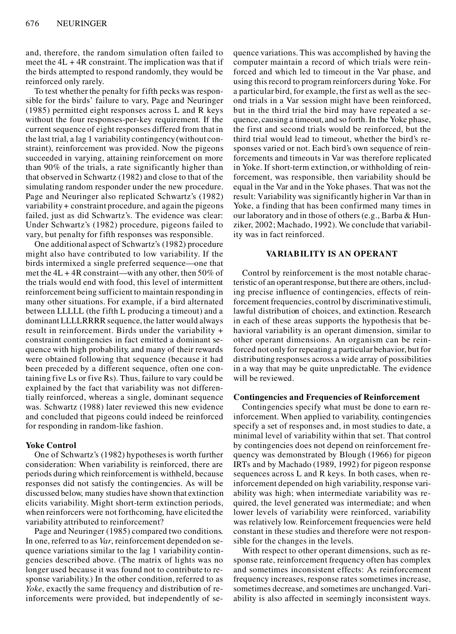and, therefore, the random simulation often failed to meet the  $4L + 4R$  constraint. The implication was that if the birds attempted to respond randomly, they would be reinforced only rarely.

To test whether the penalty for fifth pecks was responsible for the birds' failure to vary, Page and Neuringer (1985) permitted eight responses across L and R keys without the four responses-per-key requirement. If the current sequence of eight responses differed from that in the last trial, a lag 1 variability contingency (without constraint), reinforcement was provided. Now the pigeons succeeded in varying, attaining reinforcement on more than 90% of the trials, a rate significantly higher than that observed in Schwartz (1982) and close to that of the simulating random responder under the new procedure. Page and Neuringer also replicated Schwartz's (1982) variability+ constraint procedure, and again the pigeons failed, just as did Schwartz's. The evidence was clear: Under Schwartz's (1982) procedure, pigeons failed to vary, but penalty for fifth responses was responsible.

One additional aspect of Schwartz's (1982) procedure might also have contributed to low variability. If the birds intermixed a single preferred sequence—one that met the  $4L + 4R$  constraint—with any other, then 50% of the trials would end with food, this level of intermittent reinforcement being sufficient to maintain responding in many other situations. For example, if a bird alternated between LLLLL (the fifth L producing a timeout) and a dominant LLLLRRRR sequence, the latter would always result in reinforcement. Birds under the variability + constraint contingencies in fact emitted a dominant sequence with high probability, and many of their rewards were obtained following that sequence (because it had been preceded by a different sequence, often one containing five Ls or five Rs). Thus, failure to vary could be explained by the fact that variability was not differentially reinforced, whereas a single, dominant sequence was. Schwartz (1988) later reviewed this new evidence and concluded that pigeons could indeed be reinforced for responding in random-like fashion.

# **Yoke Control**

One of Schwartz's (1982) hypotheses is worth further consideration: When variability is reinforced, there are periods during which reinforcement is withheld, because responses did not satisfy the contingencies. As will be discussed below, many studies have shown that extinction elicits variability. Might short-term extinction periods, when reinforcers were not forthcoming, have elicited the variability attributed to reinforcement?

Page and Neuringer (1985) compared two conditions. In one, referred to as *Var*, reinforcement depended on sequence variations similar to the lag 1 variability contingencies described above. (The matrix of lights was no longer used because it was found not to contribute to response variability.) In the other condition, referred to as *Yoke*, exactly the same frequency and distribution of reinforcements were provided, but independently of sequence variations. This was accomplished by having the computer maintain a record of which trials were reinforced and which led to timeout in the Var phase, and using this record to program reinforcers during Yoke. For a particular bird, for example, the first as well as the second trials in a Var session might have been reinforced, but in the third trial the bird may have repeated a sequence, causing a timeout, and so forth. In the Yoke phase, the first and second trials would be reinforced, but the third trial would lead to timeout, whether the bird's responses varied or not. Each bird's own sequence of reinforcements and timeouts in Var was therefore replicated in Yoke. If short-term extinction, or withholding of reinforcement, was responsible, then variability should be equal in the Var and in the Yoke phases. That was not the result: Variability was significantly higher in Var than in Yoke, a finding that has been confirmed many times in our laboratory and in those of others (e.g., Barba & Hunziker, 2002; Machado, 1992). We conclude that variability was in fact reinforced.

# **VARIABILITY IS AN OPERANT**

Control by reinforcement is the most notable characteristic of an operant response, but there are others, including precise influence of contingencies, effects of reinforcement frequencies, control by discriminative stimuli, lawful distribution of choices, and extinction. Research in each of these areas supports the hypothesis that behavioral variability is an operant dimension, similar to other operant dimensions. An organism can be reinforced not only for repeating a particular behavior, but for distributing responses across a wide array of possibilities in a way that may be quite unpredictable. The evidence will be reviewed.

#### **Contingencies and Frequencies of Reinforcement**

Contingencies specify what must be done to earn reinforcement. When applied to variability, contingencies specify a set of responses and, in most studies to date, a minimal level of variability within that set. That control by contingencies does not depend on reinforcement frequency was demonstrated by Blough (1966) for pigeon IRTs and by Machado (1989, 1992) for pigeon response sequences across L and R keys. In both cases, when reinforcement depended on high variability, response variability was high; when intermediate variability was required, the level generated was intermediate; and when lower levels of variability were reinforced, variability was relatively low. Reinforcement frequencies were held constant in these studies and therefore were not responsible for the changes in the levels.

With respect to other operant dimensions, such as response rate, reinforcement frequency often has complex and sometimes inconsistent effects: As reinforcement frequency increases, response rates sometimes increase, sometimes decrease, and sometimes are unchanged. Variability is also affected in seemingly inconsistent ways.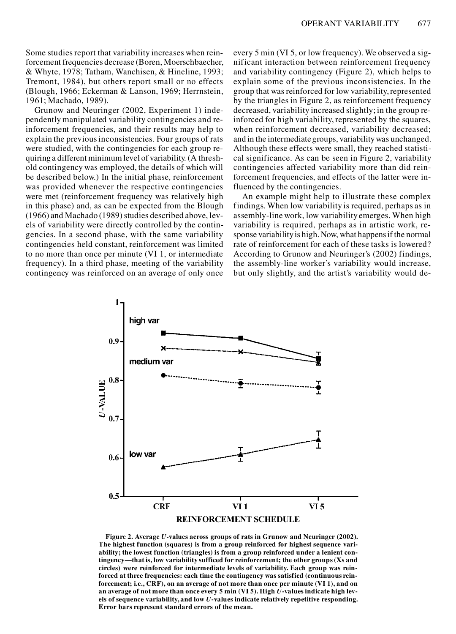Some studies report that variability increases when reinforcement frequencies decrease (Boren, Moerschbaecher, & Whyte, 1978; Tatham, Wanchisen, & Hineline, 1993; Tremont, 1984), but others report small or no effects (Blough, 1966; Eckerman & Lanson, 1969; Herrnstein, 1961; Machado, 1989).

Grunow and Neuringer (2002, Experiment 1) independently manipulated variability contingencies and reinforcement frequencies, and their results may help to explain the previous inconsistencies. Four groups of rats were studied, with the contingencies for each group requiring a different minimum level of variability. (A threshold contingency was employed, the details of which will be described below.) In the initial phase, reinforcement was provided whenever the respective contingencies were met (reinforcement frequency was relatively high in this phase) and, as can be expected from the Blough (1966) and Machado (1989) studies described above, levels of variability were directly controlled by the contingencies. In a second phase, with the same variability contingencies held constant, reinforcement was limited to no more than once per minute (VI 1, or intermediate frequency). In a third phase, meeting of the variability contingency was reinforced on an average of only once

every 5 min (VI 5, or low frequency). We observed a significant interaction between reinforcement frequency and variability contingency (Figure 2), which helps to explain some of the previous inconsistencies. In the group that was reinforced for low variability, represented by the triangles in Figure 2, as reinforcement frequency decreased, variability increased slightly; in the group reinforced for high variability, represented by the squares, when reinforcement decreased, variability decreased; and in the intermediate groups, variability was unchanged. Although these effects were small, they reached statistical significance. As can be seen in Figure 2, variability contingencies affected variability more than did reinforcement frequencies, and effects of the latter were influenced by the contingencies.

An example might help to illustrate these complex findings. When low variability is required, perhaps as in assembly-line work, low variability emerges. When high variability is required, perhaps as in artistic work, response variability is high. Now, what happens if the normal rate of reinforcement for each of these tasks is lowered? According to Grunow and Neuringer's (2002) findings, the assembly-line worker's variability would increase, but only slightly, and the artist's variability would de-



**Figure 2. Average** *U***-values across groups of rats in Grunow and Neuringer (2002). The highest function (squares) is from a group reinforced for highest sequence variability; the lowest function (triangles) is from a group reinforced under a lenient contingency—that is, low variability sufficed for reinforcement; the other groups (Xs and circles) were reinforced for intermediate levels of variability. Each group was reinforced at three frequencies: each time the contingency was satisfied (continuous reinforcement; i.e., CRF), on an average of not more than once per minute (VI 1), and on an average of not more than once every 5 min (VI 5). High** *U***-values indicate high levels of sequence variability, and low** *U***-values indicate relatively repetitive responding. Error bars represent standard errors of the mean.**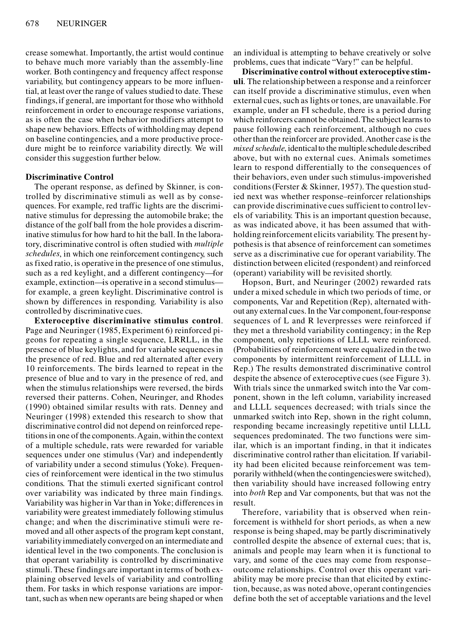crease somewhat. Importantly, the artist would continue to behave much more variably than the assembly-line worker. Both contingency and frequency affect response variability, but contingency appears to be more influential, at least over the range of values studied to date. These findings, if general, are important for those who withhold reinforcement in order to encourage response variations, as is often the case when behavior modifiers attempt to shape new behaviors. Effects of withholding may depend on baseline contingencies, and a more productive procedure might be to reinforce variability directly. We will consider this suggestion further below.

## **Discriminative Control**

The operant response, as defined by Skinner, is controlled by discriminative stimuli as well as by consequences. For example, red traffic lights are the discriminative stimulus for depressing the automobile brake; the distance of the golf ball from the hole provides a discriminative stimulus for how hard to hit the ball. In the laboratory, discriminative control is often studied with *multiple schedules*, in which one reinforcement contingency, such as fixed ratio, is operative in the presence of one stimulus, such as a red keylight, and a different contingency—for example, extinction—is operative in a second stimulus for example, a green keylight. Discriminative control is shown by differences in responding. Variability is also controlled by discriminative cues.

**Exteroceptive discriminative stimulus control**. Page and Neuringer (1985, Experiment 6) reinforced pigeons for repeating a single sequence, LRRLL, in the presence of blue keylights, and for variable sequences in the presence of red. Blue and red alternated after every 10 reinforcements. The birds learned to repeat in the presence of blue and to vary in the presence of red, and when the stimulus relationships were reversed, the birds reversed their patterns. Cohen, Neuringer, and Rhodes (1990) obtained similar results with rats. Denney and Neuringer (1998) extended this research to show that discriminative control did not depend on reinforced repetitions in one of the components. Again, within the context of a multiple schedule, rats were rewarded for variable sequences under one stimulus (Var) and independently of variability under a second stimulus (Yoke). Frequencies of reinforcement were identical in the two stimulus conditions. That the stimuli exerted significant control over variability was indicated by three main findings. Variability was higher in Var than in Yoke; differences in variability were greatest immediately following stimulus change; and when the discriminative stimuli were removed and all other aspects of the program kept constant, variability immediately converged on an intermediate and identical level in the two components. The conclusion is that operant variability is controlled by discriminative stimuli. These findings are important in terms of both explaining observed levels of variability and controlling them. For tasks in which response variations are important, such as when new operants are being shaped or when

an individual is attempting to behave creatively or solve problems, cues that indicate "Vary!" can be helpful.

**Discriminative control without exteroceptive stimuli**. The relationship between a response and a reinforcer can itself provide a discriminative stimulus, even when external cues, such as lights or tones, are unavailable. For example, under an FI schedule, there is a period during which reinforcers cannot be obtained. The subject learns to pause following each reinforcement, although no cues other than the reinforcer are provided. Another case is the *mixed schedule*, identical to the multiple schedule described above, but with no external cues. Animals sometimes learn to respond differentially to the consequences of their behaviors, even under such stimulus-impoverished conditions(Ferster & Skinner, 1957). The question studied next was whether response–reinforcer relationships can provide discriminative cues sufficient to control levels of variability. This is an important question because, as was indicated above, it has been assumed that withholding reinforcement elicits variability. The present hypothesis is that absence of reinforcement can sometimes serve as a discriminative cue for operant variability. The distinction between elicited (respondent) and reinforced (operant) variability will be revisited shortly.

Hopson, Burt, and Neuringer (2002) rewarded rats under a mixed schedule in which two periods of time, or components, Var and Repetition (Rep), alternated without any external cues. In the Var component, four-response sequences of L and R leverpresses were reinforced if they met a threshold variability contingency; in the Rep component, only repetitions of LLLL were reinforced. (Probabilities of reinforcement were equalized in the two components by intermittent reinforcement of LLLL in Rep.) The results demonstrated discriminative control despite the absence of exteroceptive cues (see Figure 3). With trials since the unmarked switch into the Var component, shown in the left column, variability increased and LLLL sequences decreased; with trials since the unmarked switch into Rep, shown in the right column, responding became increasingly repetitive until LLLL sequences predominated. The two functions were similar, which is an important finding, in that it indicates discriminative control rather than elicitation. If variability had been elicited because reinforcement was temporarily withheld (when the contingencies were switched), then variability should have increased following entry into *both* Rep and Var components, but that was not the result.

Therefore, variability that is observed when reinforcement is withheld for short periods, as when a new response is being shaped, may be partly discriminatively controlled despite the absence of external cues; that is, animals and people may learn when it is functional to vary, and some of the cues may come from response– outcome relationships. Control over this operant variability may be more precise than that elicited by extinction, because, as was noted above, operant contingencies define both the set of acceptable variations and the level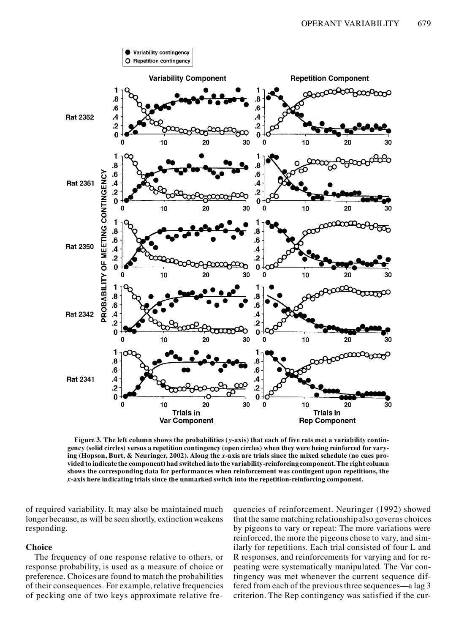

**Figure 3. The left column shows the probabilities (** *y***-axis) that each of five rats met a variability contingency (solid circles) versus a repetition contingency (open circles) when they were being reinforced for varying (Hopson, Burt, & Neuringer, 2002). Along the** *x***-axis are trials since the mixed schedule (no cues provided to indicate the component) had switched into the variability-reinforcing component. The right column shows the corresponding data for performances when reinforcement was contingent upon repetitions, the** *x***-axis here indicating trials since the unmarked switch into the repetition-reinforcing component.**

of required variability. It may also be maintained much longer because, as will be seen shortly, extinction weakens responding.

# **Choice**

The frequency of one response relative to others, or response probability, is used as a measure of choice or preference. Choices are found to match the probabilities of their consequences. For example, relative frequencies of pecking one of two keys approximate relative fre-

quencies of reinforcement. Neuringer (1992) showed that the same matching relationship also governs choices by pigeons to vary or repeat: The more variations were reinforced, the more the pigeons chose to vary, and similarly for repetitions. Each trial consisted of four L and R responses, and reinforcements for varying and for repeating were systematically manipulated. The Var contingency was met whenever the current sequence differed from each of the previous three sequences—a lag 3 criterion. The Rep contingency was satisfied if the cur-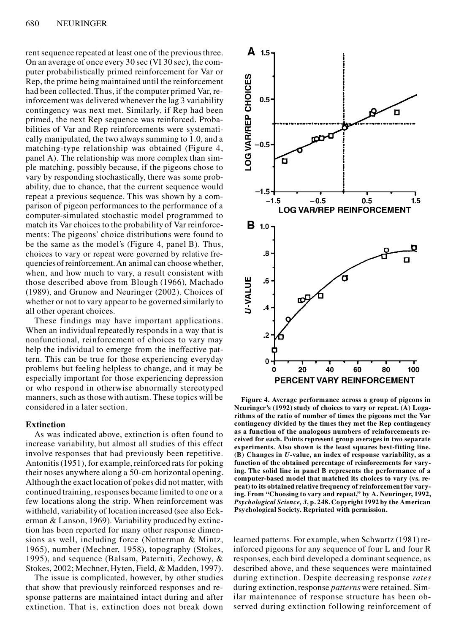rent sequence repeated at least one of the previous three. On an average of once every 30 sec (VI 30 sec), the computer probabilistically primed reinforcement for Var or Rep, the prime being maintained until the reinforcement had been collected. Thus, if the computer primed Var, reinforcement was delivered whenever the lag 3 variability contingency was next met. Similarly, if Rep had been primed, the next Rep sequence was reinforced. Probabilities of Var and Rep reinforcements were systematically manipulated, the two always summing to 1.0, and a matching-type relationship was obtained (Figure 4, panel A). The relationship was more complex than simple matching, possibly because, if the pigeons chose to vary by responding stochastically, there was some probability, due to chance, that the current sequence would repeat a previous sequence. This was shown by a comparison of pigeon performances to the performance of a computer-simulated stochastic model programmed to match its Var choices to the probability of Var reinforcements: The pigeons' choice distributions were found to be the same as the model's (Figure 4, panel B). Thus, choices to vary or repeat were governed by relative frequencies of reinforcement. An animal can choose whether, when, and how much to vary, a result consistent with those described above from Blough (1966), Machado (1989), and Grunow and Neuringer (2002). Choices of whether or not to vary appear to be governed similarly to all other operant choices.

These findings may have important applications. When an individual repeatedly responds in a way that is nonfunctional, reinforcement of choices to vary may help the individual to emerge from the ineffective pattern. This can be true for those experiencing everyday problems but feeling helpless to change, and it may be especially important for those experiencing depression or who respond in otherwise abnormally stereotyped manners, such as those with autism. These topics will be considered in a later section.

# **Extinction**

As was indicated above, extinction is often found to increase variability, but almost all studies of this effect involve responses that had previously been repetitive. Antonitis (1951), for example, reinforced rats for poking their noses anywhere along a 50-cm horizontal opening. Although the exact location of pokes did not matter, with continued training, responses became limited to one or a few locations along the strip. When reinforcement was withheld, variability of location increased (see also Eckerman & Lanson, 1969). Variability produced by extinction has been reported for many other response dimensions as well, including force (Notterman & Mintz, 1965), number (Mechner, 1958), topography (Stokes, 1995), and sequence (Balsam, Paterniti, Zechowy, & Stokes, 2002; Mechner, Hyten, Field, & Madden, 1997).

The issue is complicated, however, by other studies that show that previously reinforced responses and response patterns are maintained intact during and after extinction. That is, extinction does not break down



**Figure 4. Average performance across a group of pigeons in Neuringer's (1992) study of choices to vary or repeat. (A) Logarithms of the ratio of number of times the pigeons met the Var contingency divided by the times they met the Rep contingency as a function of the analogous numbers of reinforcements re ceived for each. Points represent group averages in two separate experiments. Also shown is the least squares best-fitting line. (B) Changes in** *U***-value, an index of response variability, as a function of the obtained percentage of reinforcements for varying. The solid line in panel B represents the performance of a computer-based model that matched its choices to vary (vs. re peat) to its obtained relative frequency of reinforcement for varying. From "Choosing to vary and repeat," by A. Neuringer, 1992,** *Psychological Science, 3***, p. 248. Copyright 1992 by the American Psychological Society. Reprinted with permission.**

learned patterns. For example, when Schwartz (1981) reinforced pigeons for any sequence of four L and four R responses, each bird developed a dominant sequence, as described above, and these sequences were maintained during extinction. Despite decreasing response *rates* during extinction, response *patterns* were retained. Similar maintenance of response structure has been observed during extinction following reinforcement of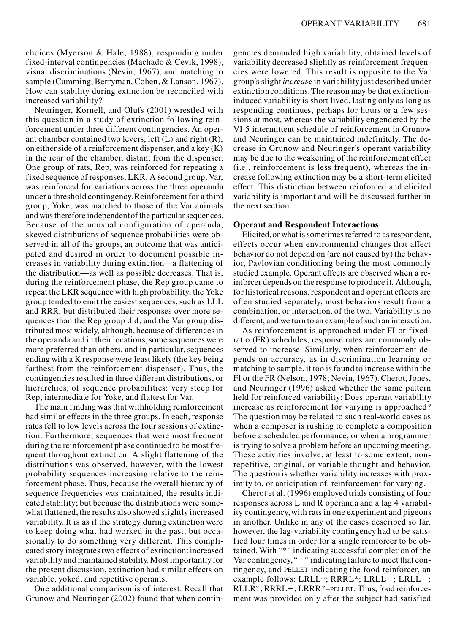choices (Myerson & Hale, 1988), responding under fixed-interval contingencies (Machado & Cevik, 1998), visual discriminations (Nevin, 1967), and matching to sample (Cumming, Berryman, Cohen, & Lanson, 1967). How can stability during extinction be reconciled with increased variability?

Neuringer, Kornell, and Olufs (2001) wrestled with this question in a study of extinction following reinforcement under three different contingencies. An operant chamber contained two levers, left (L) and right (R), on either side of a reinforcement dispenser, and a key (K) in the rear of the chamber, distant from the dispenser. One group of rats, Rep, was reinforced for repeating a fixed sequence of responses, LKR. A second group, Var, was reinforced for variations across the three operanda under a threshold contingency. Reinforcementfor a third group, Yoke, was matched to those of the Var animals and was therefore independent of the particular sequences. Because of the unusual configuration of operanda, skewed distributions of sequence probabilities were observed in all of the groups, an outcome that was anticipated and desired in order to document possible increases in variability during extinction—a flattening of the distribution—as well as possible decreases. That is, during the reinforcement phase, the Rep group came to repeat the LKR sequence with high probability; the Yoke group tended to emit the easiest sequences, such as LLL and RRR, but distributed their responses over more sequences than the Rep group did; and the Var group distributed most widely, although, because of differences in the operanda and in their locations, some sequences were more preferred than others, and in particular, sequences ending with a K response were least likely (the key being farthest from the reinforcement dispenser). Thus, the contingencies resulted in three different distributions, or hierarchies, of sequence probabilities: very steep for Rep, intermediate for Yoke, and flattest for Var.

The main finding was that withholding reinforcement had similar effects in the three groups. In each, response rates fell to low levels across the four sessions of extinction. Furthermore, sequences that were most frequent during the reinforcement phase continued to be most frequent throughout extinction. A slight flattening of the distributions was observed, however, with the lowest probability sequences increasing relative to the reinforcement phase. Thus, because the overall hierarchy of sequence frequencies was maintained, the results indicated stability; but because the distributions were somewhat flattened, the results also showed slightly increased variability. It is as if the strategy during extinction were to keep doing what had worked in the past, but occasionally to do something very different. This complicated story integrates two effects of extinction: increased variability and maintained stability. Most importantly for the present discussion, extinction had similar effects on variable, yoked, and repetitive operants.

One additional comparison is of interest. Recall that Grunow and Neuringer (2002) found that when contin-

gencies demanded high variability, obtained levels of variability decreased slightly as reinforcement frequencies were lowered. This result is opposite to the Var group's slight *increase* in variability just described under extinction conditions. The reason may be that extinctioninduced variability is short lived, lasting only as long as responding continues, perhaps for hours or a few sessions at most, whereas the variability engendered by the VI 5 intermittent schedule of reinforcement in Grunow and Neuringer can be maintained indefinitely. The decrease in Grunow and Neuringer's operant variability may be due to the weakening of the reinforcement effect (i.e., reinforcement is less frequent), whereas the increase following extinction may be a short-term elicited effect. This distinction between reinforced and elicited variability is important and will be discussed further in the next section.

## **Operant and Respondent Interactions**

Elicited, or what is sometimes referred to as respondent, effects occur when environmental changes that affect behavior do not depend on (are not caused by) the behavior, Pavlovian conditioning being the most commonly studied example. Operant effects are observed when a reinforcer depends on the response to produce it. Although, for historical reasons, respondent and operant effects are often studied separately, most behaviors result from a combination, or interaction, of the two. Variability is no different, and we turn to an example of such an interaction.

As reinforcement is approached under FI or fixedratio (FR) schedules, response rates are commonly observed to increase. Similarly, when reinforcement depends on accuracy, as in discrimination learning or matching to sample, it too is found to increase within the FI or the FR (Nelson, 1978; Nevin, 1967). Cherot, Jones, and Neuringer (1996) asked whether the same pattern held for reinforced variability: Does operant variability increase as reinforcement for varying is approached? The question may be related to such real-world cases as when a composer is rushing to complete a composition before a scheduled performance, or when a programmer is trying to solve a problem before an upcoming meeting. These activities involve, at least to some extent, nonrepetitive, original, or variable thought and behavior. The question is whether variability increases with proximity to, or anticipation of, reinforcement for varying.

Cherot et al. (1996) employed trials consisting of four responses across L and R operanda and a lag 4 variability contingency, with rats in one experiment and pigeons in another. Unlike in any of the cases described so far, however, the lag-variability contingency had to be satisfied four times in order for a single reinforcer to be obtained. With "\*" indicating successful completion of the Var contingency, " $-$ " indicating failure to meet that contingency, and PELLET indicating the food reinforcer, an example follows: LRLL\*; RRRL\*; LRLL-; LRLL-;  $RLLR^*$ ;  $RRRL-$ ;  $LRRR^*$ +PELLET. Thus, food reinforcement was provided only after the subject had satisfied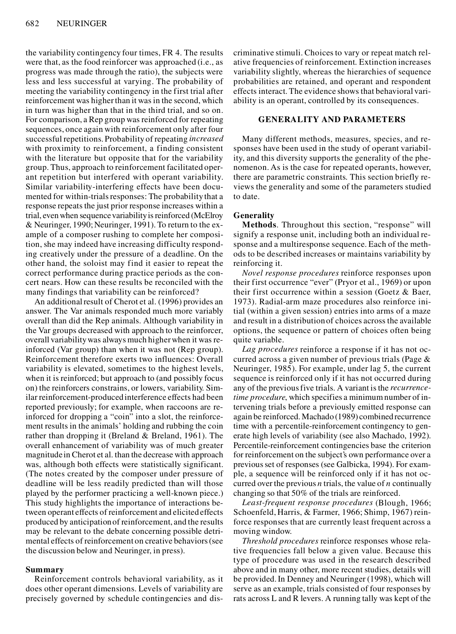the variability contingency four times, FR 4. The results were that, as the food reinforcer was approached (i.e., as progress was made through the ratio), the subjects were less and less successful at varying. The probability of meeting the variability contingency in the first trial after reinforcement was higher than it was in the second, which in turn was higher than that in the third trial, and so on. For comparison, a Rep group was reinforced for repeating sequences, once again with reinforcement only after four successful repetitions. Probability of repeating *increased* with proximity to reinforcement, a finding consistent with the literature but opposite that for the variability group. Thus, approach to reinforcement facilitated operant repetition but interfered with operant variability. Similar variability-interfering effects have been documented for within-trials responses: The probability that a response repeats the just prior response increases within a trial, even when sequence variability is reinforced (McElroy & Neuringer, 1990; Neuringer, 1991). To return to the example of a composer rushing to complete her composition, she may indeed have increasing difficulty responding creatively under the pressure of a deadline. On the other hand, the soloist may find it easier to repeat the correct performance during practice periods as the concert nears. How can these results be reconciled with the many findings that variability can be reinforced?

An additional result of Cherot et al. (1996) provides an answer. The Var animals responded much more variably overall than did the Rep animals. Although variability in the Var groups decreased with approach to the reinforcer, overall variability was always much higher when it was reinforced (Var group) than when it was not (Rep group). Reinforcement therefore exerts two influences: Overall variability is elevated, sometimes to the highest levels, when it is reinforced; but approach to (and possibly focus on) the reinforcers constrains, or lowers, variability. Similar reinforcement-produced interference effects had been reported previously; for example, when raccoons are reinforced for dropping a "coin" into a slot, the reinforcement results in the animals' holding and rubbing the coin rather than dropping it (Breland & Breland, 1961). The overall enhancement of variability was of much greater magnitude in Cherot et al. than the decrease with approach was, although both effects were statistically significant. (The notes created by the composer under pressure of deadline will be less readily predicted than will those played by the performer practicing a well-known piece.) This study highlights the importance of interactions between operant effects of reinforcement and elicited effects produced by anticipation of reinforcement, and the results may be relevant to the debate concerning possible detrimental effects of reinforcement on creative behaviors (see the discussion below and Neuringer, in press).

## **Summary**

Reinforcement controls behavioral variability, as it does other operant dimensions. Levels of variability are precisely governed by schedule contingencies and discriminative stimuli. Choices to vary or repeat match relative frequencies of reinforcement. Extinction increases variability slightly, whereas the hierarchies of sequence probabilities are retained, and operant and respondent effects interact. The evidence shows that behavioral variability is an operant, controlled by its consequences.

# **GENERALITY AND PARAMETERS**

Many different methods, measures, species, and responses have been used in the study of operant variability, and this diversity supports the generality of the phenomenon. As is the case for repeated operants, however, there are parametric constraints. This section briefly reviews the generality and some of the parameters studied to date.

# **Generality**

**Methods**. Throughout this section, "response" will signify a response unit, including both an individual response and a multiresponse sequence. Each of the methods to be described increases or maintains variability by reinforcing it.

*Novel response procedures* reinforce responses upon their first occurrence "ever" (Pryor et al., 1969) or upon their first occurrence within a session (Goetz & Baer, 1973). Radial-arm maze procedures also reinforce initial (within a given session) entries into arms of a maze and result in a distribution of choices across the available options, the sequence or pattern of choices often being quite variable.

*Lag procedures* reinforce a response if it has not occurred across a given number of previous trials (Page & Neuringer, 1985). For example, under lag 5, the current sequence is reinforced only if it has not occurred during any of the previous five trials. A variant is the *recurrencetime procedure*, which specifies a minimum number of intervening trials before a previously emitted response can again be reinforced. Machado (1989) combined recurrence time with a percentile-reinforcement contingency to generate high levels of variability (see also Machado, 1992). Percentile-reinforcement contingencies base the criterion for reinforcement on the subject's own performance over a previous set of responses (see Galbicka, 1994). For example, a sequence will be reinforced only if it has not occurred over the previous *n* trials, the value of *n* continually changing so that 50% of the trials are reinforced.

*Least-frequent response procedures* (Blough, 1966; Schoenfeld, Harris, & Farmer, 1966; Shimp, 1967) reinforce responses that are currently least frequent across a moving window.

*Threshold procedures* reinforce responses whose relative frequencies fall below a given value. Because this type of procedure was used in the research described above and in many other, more recent studies, details will be provided. In Denney and Neuringer (1998), which will serve as an example, trials consisted of four responses by rats across L and R levers. A running tally was kept of the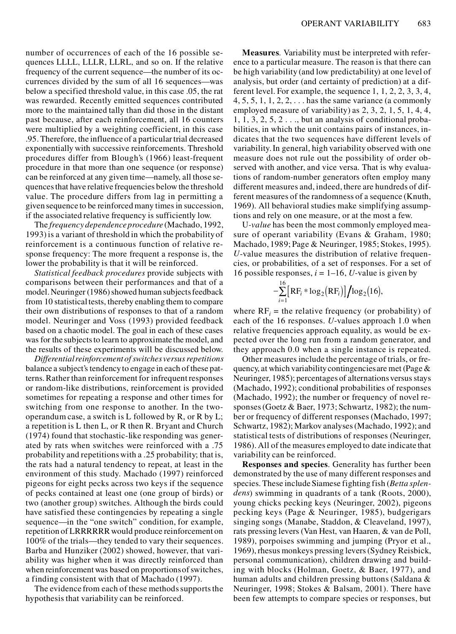number of occurrences of each of the 16 possible sequences LLLL, LLLR, LLRL, and so on. If the relative frequency of the current sequence—the number of its occurrences divided by the sum of all 16 sequences—was below a specified threshold value, in this case .05, the rat was rewarded. Recently emitted sequences contributed more to the maintained tally than did those in the distant past because, after each reinforcement, all 16 counters were multiplied by a weighting coefficient, in this case .95. Therefore, the influence of a particular trial decreased exponentially with successive reinforcements. Threshold procedures differ from Blough's (1966) least-frequent procedure in that more than one sequence (or response) can be reinforced at any given time—namely, all those sequences that have relative frequencies below the threshold value. The procedure differs from lag in permitting a given sequence to be reinforced many times in succession, if the associated relative frequency is sufficiently low.

The *frequency dependence procedure* (Machado, 1992, 1993) is a variant of threshold in which the probability of reinforcement is a continuous function of relative response frequency: The more frequent a response is, the lower the probability is that it will be reinforced.

*Statistical feedback procedures* provide subjects with comparisons between their performances and that of a model. Neuringer (1986) showed human subjects feedback from 10 statistical tests, thereby enabling them to compare their own distributions of responses to that of a random model. Neuringer and Voss (1993) provided feedback based on a chaotic model. The goal in each of these cases was for the subjects to learn to approximate the model, and the results of these experiments will be discussed below.

*Differential reinforcement of switches versus repetitions* balance a subject's tendency to engage in each of these patterns. Rather than reinforcement for infrequent responses or random-like distributions, reinforcement is provided sometimes for repeating a response and other times for switching from one response to another. In the twooperandum case, a switch is L followed by R, or R by L; a repetition is L then L, or R then R. Bryant and Church (1974) found that stochastic-like responding was generated by rats when switches were reinforced with a .75 probability and repetitions with a .25 probability; that is, the rats had a natural tendency to repeat, at least in the environment of this study. Machado (1997) reinforced pigeons for eight pecks across two keys if the sequence of pecks contained at least one (one group of birds) or two (another group) switches. Although the birds could have satisfied these contingencies by repeating a single sequence—in the "one switch" condition, for example, repetition of LRRRRRR would produce reinforcement on 100% of the trials—they tended to vary their sequences. Barba and Hunziker (2002) showed, however, that variability was higher when it was directly reinforced than when reinforcement was based on proportions of switches, a finding consistent with that of Machado (1997).

The evidence from each of these methods supports the hypothesis that variability can be reinforced.

**Measures**. Variability must be interpreted with reference to a particular measure. The reason is that there can be high variability (and low predictability) at one level of analysis, but order (and certainty of prediction) at a different level. For example, the sequence 1, 1, 2, 2, 3, 3, 4,  $4, 5, 5, 1, 1, 2, 2, \ldots$  has the same variance (a commonly employed measure of variability) as 2, 3, 2, 1, 5, 1, 4, 4,  $1, 1, 3, 2, 5, 2, \ldots$ , but an analysis of conditional probabilities, in which the unit contains pairs of instances, indicates that the two sequences have different levels of variability. In general, high variability observed with one measure does not rule out the possibility of order observed with another, and vice versa. That is why evaluations of random-number generators often employ many different measures and, indeed, there are hundreds of different measures of the randomness of a sequence (Knuth, 1969). All behavioral studies make simplifying assumptions and rely on one measure, or at the most a few.

U*-value* has been the most commonly employed measure of operant variability (Evans & Graham, 1980; Machado, 1989; Page & Neuringer, 1985; Stokes, 1995). *U*-value measures the distribution of relative frequencies, or probabilities, of a set of responses. For a set of 16 possible responses,  $i = 1-16$ , *U*-value is given by

$$
-\sum_{i=1}^{16} [RF_i * log_2(RF_i)] / log_2(16),
$$

where  $RF<sub>i</sub>$  = the relative frequency (or probability) of each of the 16 responses. *U*-values approach 1.0 when relative frequencies approach equality, as would be expected over the long run from a random generator, and they approach 0.0 when a single instance is repeated.

Other measures include the percentage of trials, or frequency, at which variability contingencies are met (Page & Neuringer, 1985); percentages of alternations versus stays (Machado, 1992); conditional probabilities of responses (Machado, 1992); the number or frequency of novel responses (Goetz & Baer, 1973; Schwartz, 1982); the number or frequency of different responses (Machado, 1997; Schwartz, 1982); Markov analyses (Machado, 1992); and statistical tests of distributions of responses (Neuringer, 1986). All of the measures employed to date indicate that variability can be reinforced.

**Responses and species**. Generality has further been demonstrated by the use of many different responses and species. These include Siamese fighting fish (*Betta splendens*) swimming in quadrants of a tank (Roots, 2000), young chicks pecking keys (Neuringer, 2002), pigeons pecking keys (Page & Neuringer, 1985), budgerigars singing songs (Manabe, Staddon, & Cleaveland, 1997), rats pressing levers (Van Hest, van Haaren, & van de Poll, 1989), porpoises swimming and jumping (Pryor et al., 1969), rhesus monkeys pressing levers (Sydney Reisbick, personal communication), children drawing and building with blocks (Holman, Goetz, & Baer, 1977), and human adults and children pressing buttons (Saldana & Neuringer, 1998; Stokes & Balsam, 2001). There have been few attempts to compare species or responses, but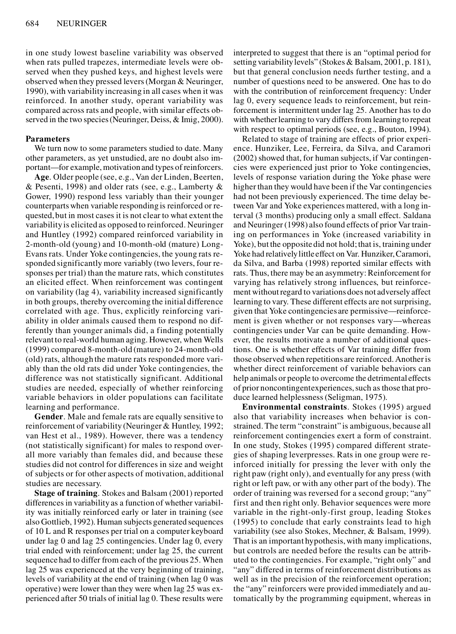in one study lowest baseline variability was observed when rats pulled trapezes, intermediate levels were observed when they pushed keys, and highest levels were observed when they pressed levers (Morgan & Neuringer, 1990), with variability increasing in all cases when it was reinforced. In another study, operant variability was compared across rats and people, with similar effects observed in the two species (Neuringer, Deiss, & Imig, 2000).

## **Parameters**

We turn now to some parameters studied to date. Many other parameters, as yet unstudied, are no doubt also important—for example, motivation and types of reinforcers.

**Age**. Older people (see, e.g., Van der Linden, Beerten, & Pesenti, 1998) and older rats (see, e.g., Lamberty & Gower, 1990) respond less variably than their younger counterparts when variable responding is reinforced or requested, but in most cases it is not clear to what extent the variability is elicited as opposed to reinforced. Neuringer and Huntley (1992) compared reinforced variability in 2-month-old (young) and 10-month-old (mature) Long-Evans rats. Under Yoke contingencies, the young rats responded significantly more variably (two levers, four responses per trial) than the mature rats, which constitutes an elicited effect. When reinforcement was contingent on variability (lag 4), variability increased significantly in both groups, thereby overcoming the initial difference correlated with age. Thus, explicitly reinforcing variability in older animals caused them to respond no differently than younger animals did, a finding potentially relevant to real-world human aging. However, when Wells (1999) compared 8-month-old (mature) to 24-month-old (old) rats, although the mature rats responded more variably than the old rats did under Yoke contingencies, the difference was not statistically significant. Additional studies are needed, especially of whether reinforcing variable behaviors in older populations can facilitate learning and performance.

**Gender**. Male and female rats are equally sensitive to reinforcement of variability (Neuringer & Huntley, 1992; van Hest et al., 1989). However, there was a tendency (not statistically significant) for males to respond overall more variably than females did, and because these studies did not control for differences in size and weight of subjects or for other aspects of motivation, additional studies are necessary.

**Stage of training**. Stokes and Balsam (2001) reported differences in variability as a function of whether variability was initially reinforced early or later in training (see also Gottlieb, 1992). Human subjects generated sequences of 10 L and R responses per trial on a computer keyboard under lag 0 and lag 25 contingencies. Under lag 0, every trial ended with reinforcement; under lag 25, the current sequence had to differ from each of the previous 25. When lag 25 was experienced at the very beginning of training, levels of variability at the end of training (when lag 0 was operative) were lower than they were when lag 25 was experienced after 50 trials of initial lag 0. These results were

interpreted to suggest that there is an "optimal period for setting variability levels" (Stokes & Balsam, 2001, p. 181), but that general conclusion needs further testing, and a number of questions need to be answered. One has to do with the contribution of reinforcement frequency: Under lag 0, every sequence leads to reinforcement, but reinforcement is intermittent under lag 25. Another has to do with whether learning to vary differs from learning to repeat with respect to optimal periods (see, e.g., Bouton, 1994).

Related to stage of training are effects of prior experience. Hunziker, Lee, Ferreira, da Silva, and Caramori (2002) showed that, for human subjects, if Var contingencies were experienced just prior to Yoke contingencies, levels of response variation during the Yoke phase were higher than they would have been if the Var contingencies had not been previously experienced. The time delay between Var and Yoke experiences mattered, with a long interval (3 months) producing only a small effect. Saldana and Neuringer (1998) also found effects of prior Var training on performances in Yoke (increased variability in Yoke), but the opposite did not hold; that is, training under Yoke had relatively little effect on Var. Hunziker, Caramori, da Silva, and Barba (1998) reported similar effects with rats. Thus, there may be an asymmetry: Reinforcement for varying has relatively strong influences, but reinforcement without regard to variations does not adversely affect learning to vary. These different effects are not surprising, given that Yoke contingencies are permissive—reinforcement is given whether or not responses vary—whereas contingencies under Var can be quite demanding. However, the results motivate a number of additional questions. One is whether effects of Var training differ from those observed when repetitions are reinforced. Another is whether direct reinforcement of variable behaviors can help animals or people to overcome the detrimental effects of prior noncontingent experiences, such as those that produce learned helplessness (Seligman, 1975).

**Environmental constraints**. Stokes (1995) argued also that variability increases when behavior is constrained. The term "constraint" is ambiguous, because all reinforcement contingencies exert a form of constraint. In one study, Stokes (1995) compared different strategies of shaping leverpresses. Rats in one group were reinforced initially for pressing the lever with only the right paw (right only), and eventually for any press (with right or left paw, or with any other part of the body). The order of training was reversed for a second group; "any" first and then right only. Behavior sequences were more variable in the right-only-first group, leading Stokes (1995) to conclude that early constraints lead to high variability (see also Stokes, Mechner, & Balsam, 1999). That is an important hypothesis, with many implications, but controls are needed before the results can be attributed to the contingencies. For example, "right only" and "any" differed in terms of reinforcement distributions as well as in the precision of the reinforcement operation; the "any" reinforcers were provided immediately and automatically by the programming equipment, whereas in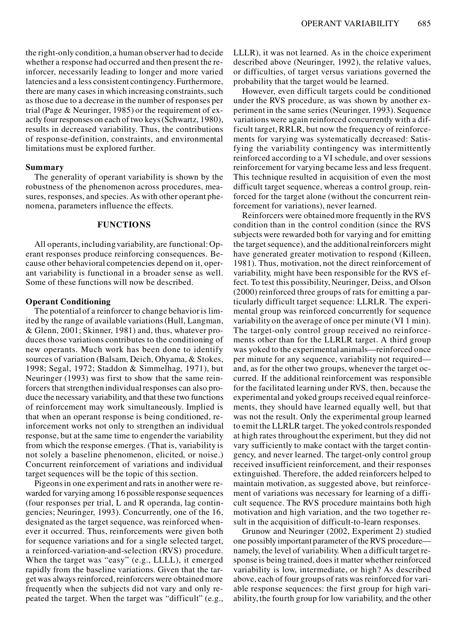the right-only condition, a human observer had to decide whether a response had occurred and then present the reinforcer, necessarily leading to longer and more varied latencies and a less consistent contingency. Furthermore, there are many cases in which increasing constraints, such as those due to a decrease in the number of responses per trial (Page & Neuringer, 1985) or the requirement of exactly four responses on each of two keys (Schwartz, 1980), results in decreased variability. Thus, the contributions of response-definition, constraints, and environmental limitations must be explored further.

## **Summary**

The generality of operant variability is shown by the robustness of the phenomenon across procedures, measures, responses, and species. As with other operant phenomena, parameters influence the effects.

## **FUNCTIONS**

All operants, including variability, are functional:Operant responses produce reinforcing consequences. Because other behavioral competencies depend on it, operant variability is functional in a broader sense as well. Some of these functions will now be described.

#### **Operant Conditioning**

The potential of a reinforcer to change behavior is limited by the range of available variations (Hull, Langman, & Glenn, 2001; Skinner, 1981) and, thus, whatever produces those variations contributes to the conditioning of new operants. Much work has been done to identify sources of variation (Balsam, Deich, Ohyama, & Stokes, 1998; Segal, 1972; Staddon & Simmelhag, 1971), but Neuringer (1993) was first to show that the same reinforcers that strengthen individual responses can also produce the necessary variability, and that these two functions of reinforcement may work simultaneously. Implied is that when an operant response is being conditioned, reinforcement works not only to strengthen an individual response, but at the same time to engender the variability from which the response emerges. (That is, variability is not solely a baseline phenomenon, elicited, or noise.) Concurrent reinforcement of variations and individual target sequences will be the topic of this section.

Pigeons in one experiment and rats in another were rewarded for varying among 16 possible response sequences (four responses per trial, L and R operanda, lag contingencies; Neuringer, 1993). Concurrently, one of the 16, designated as the target sequence, was reinforced whenever it occurred. Thus, reinforcements were given both for sequence variations and for a single selected target, a reinforced-variation-and-selection (RVS) procedure. When the target was "easy" (e.g., LLLL), it emerged rapidly from the baseline variations. Given that the target was always reinforced, reinforcers were obtained more frequently when the subjects did not vary and only repeated the target. When the target was "difficult" (e.g.,

LLLR), it was not learned. As in the choice experiment described above (Neuringer, 1992), the relative values, or difficulties, of target versus variations governed the probability that the target would be learned.

However, even difficult targets could be conditioned under the RVS procedure, as was shown by another experiment in the same series (Neuringer, 1993). Sequence variations were again reinforced concurrently with a difficult target, RRLR, but now the frequency of reinforcements for varying was systematically decreased: Satisfying the variability contingency was intermittently reinforced according to a VI schedule, and over sessions reinforcement for varying became less and less frequent. This technique resulted in acquisition of even the most difficult target sequence, whereas a control group, reinforced for the target alone (without the concurrent reinforcement for variations), never learned.

Reinforcers were obtained more frequently in the RVS condition than in the control condition (since the RVS subjects were rewarded both for varying and for emitting the target sequence), and the additional reinforcers might have generated greater motivation to respond (Killeen, 1981). Thus, motivation, not the direct reinforcement of variability, might have been responsible for the RVS effect. To test this possibility, Neuringer, Deiss, and Olson (2000) reinforced three groups of rats for emitting a particularly difficult target sequence: LLRLR. The experimental group was reinforced concurrently for sequence variability on the average of once per minute (VI 1 min). The target-only control group received no reinforcements other than for the LLRLR target. A third group was yoked to the experimental animals—reinforced once per minute for any sequence, variability not required and, as for the other two groups, whenever the target occurred. If the additional reinforcement was responsible for the facilitated learning under RVS, then, because the experimental and yoked groups received equal reinforcements, they should have learned equally well, but that was not the result. Only the experimental group learned to emit the LLRLR target. The yoked controls responded at high rates throughout the experiment, but they did not vary sufficiently to make contact with the target contingency, and never learned. The target-only control group received insufficient reinforcement, and their responses extinguished. Therefore, the added reinforcers helped to maintain motivation, as suggested above, but reinforcement of variations was necessary for learning of a difficult sequence. The RVS procedure maintains both high motivation and high variation, and the two together result in the acquisition of difficult-to-learn responses.

Grunow and Neuringer (2002, Experiment 2) studied one possibly important parameter of the RVS procedure namely, the level of variability. When a difficult target response is being trained, does it matter whether reinforced variability is low, intermediate, or high? As described above, each of four groups of rats was reinforced for variable response sequences: the first group for high variability, the fourth group for low variability, and the other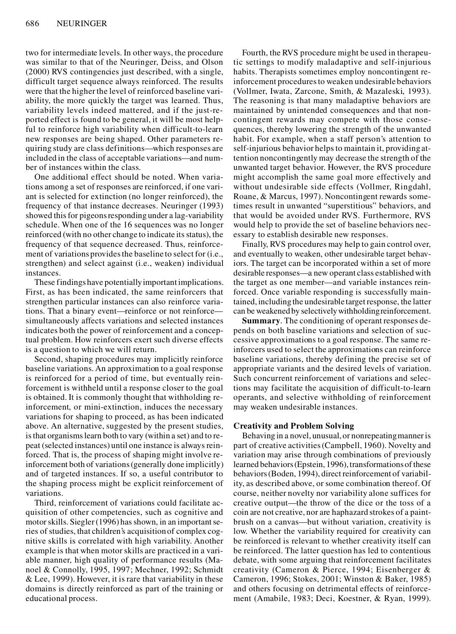two for intermediate levels. In other ways, the procedure was similar to that of the Neuringer, Deiss, and Olson (2000) RVS contingencies just described, with a single, difficult target sequence always reinforced. The results were that the higher the level of reinforced baseline variability, the more quickly the target was learned. Thus, variability levels indeed mattered, and if the just-reported effect is found to be general, it will be most helpful to reinforce high variability when difficult-to-learn new responses are being shaped. Other parameters requiring study are class definitions—which responses are included in the class of acceptable variations—and number of instances within the class.

One additional effect should be noted. When variations among a set of responses are reinforced, if one variant is selected for extinction (no longer reinforced), the frequency of that instance decreases. Neuringer (1993) showed this for pigeons responding under a lag-variability schedule. When one of the 16 sequences was no longer reinforced (with no other change to indicate its status), the frequency of that sequence decreased. Thus, reinforcement of variations provides the baseline to select for (i.e., strengthen) and select against (i.e., weaken) individual instances.

These findings have potentially important implications. First, as has been indicated, the same reinforcers that strengthen particular instances can also reinforce variations. That a binary event—reinforce or not reinforce simultaneously affects variations and selected instances indicates both the power of reinforcement and a conceptual problem. How reinforcers exert such diverse effects is a question to which we will return.

Second, shaping procedures may implicitly reinforce baseline variations. An approximation to a goal response is reinforced for a period of time, but eventually reinforcement is withheld until a response closer to the goal is obtained. It is commonly thought that withholding reinforcement, or mini-extinction, induces the necessary variations for shaping to proceed, as has been indicated above. An alternative, suggested by the present studies, is that organisms learn both to vary (within a set) and to repeat (selected instances) until one instance is always reinforced. That is, the process of shaping might involve reinforcement both of variations (generally done implicitly) and of targeted instances. If so, a useful contributor to the shaping process might be explicit reinforcement of variations.

Third, reinforcement of variations could facilitate acquisition of other competencies, such as cognitive and motor skills. Siegler (1996) has shown, in an important series of studies, that children's acquisition of complex cognitive skills is correlated with high variability. Another example is that when motor skills are practiced in a variable manner, high quality of performance results (Manoel & Connolly, 1995, 1997; Mechner, 1992; Schmidt & Lee, 1999). However, it is rare that variability in these domains is directly reinforced as part of the training or educational process.

Fourth, the RVS procedure might be used in therapeutic settings to modify maladaptive and self-injurious habits. Therapists sometimes employ noncontingent reinforcement procedures to weaken undesirable behaviors (Vollmer, Iwata, Zarcone, Smith, & Mazaleski, 1993). The reasoning is that many maladaptive behaviors are maintained by unintended consequences and that noncontingent rewards may compete with those consequences, thereby lowering the strength of the unwanted habit. For example, when a staff person's attention to self-injurious behavior helps to maintain it, providing attention noncontingently may decrease the strength of the unwanted target behavior. However, the RVS procedure might accomplish the same goal more effectively and without undesirable side effects (Vollmer, Ringdahl, Roane, & Marcus, 1997). Noncontingent rewards sometimes result in unwanted "superstitious" behaviors, and that would be avoided under RVS. Furthermore, RVS would help to provide the set of baseline behaviors necessary to establish desirable new responses.

Finally, RVS procedures may help to gain control over, and eventually to weaken, other undesirable target behaviors. The target can be incorporated within a set of more desirable responses—a new operant class established with the target as one member—and variable instances reinforced. Once variable responding is successfully maintained, including the undesirable target response, the latter can be weakened by selectively withholding reinforcement.

**Summary**. The conditioning of operant responses depends on both baseline variations and selection of successive approximations to a goal response. The same reinforcers used to select the approximations can reinforce baseline variations, thereby defining the precise set of appropriate variants and the desired levels of variation. Such concurrent reinforcement of variations and selections may facilitate the acquisition of difficult-to-learn operants, and selective withholding of reinforcement may weaken undesirable instances.

## **Creativity and Problem Solving**

Behaving in a novel, unusual, or nonrepeating manner is part of creative activities (Campbell, 1960). Novelty and variation may arise through combinations of previously learned behaviors (Epstein, 1996), transformations of these behaviors (Boden, 1994), direct reinforcement of variability, as described above, or some combination thereof. Of course, neither novelty nor variability alone suffices for creative output—the throw of the dice or the toss of a coin are not creative, nor are haphazard strokes of a paintbrush on a canvas—but without variation, creativity is low. Whether the variability required for creativity can be reinforced is relevant to whether creativity itself can be reinforced. The latter question has led to contentious debate, with some arguing that reinforcement facilitates creativity (Cameron & Pierce, 1994; Eisenberger & Cameron, 1996; Stokes, 2001; Winston & Baker, 1985) and others focusing on detrimental effects of reinforcement (Amabile, 1983; Deci, Koestner, & Ryan, 1999).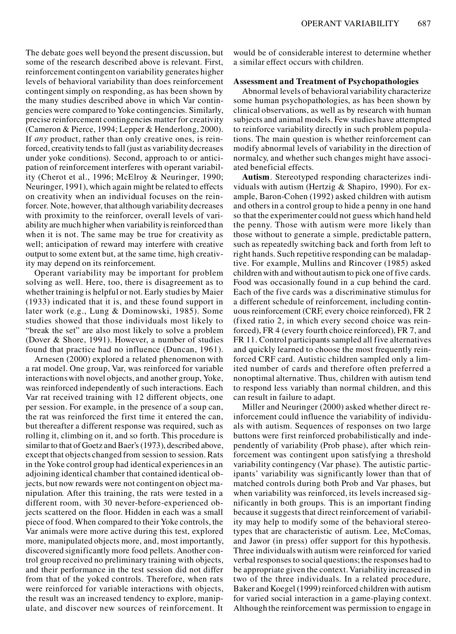The debate goes well beyond the present discussion, but some of the research described above is relevant. First, reinforcement contingenton variability generates higher levels of behavioral variability than does reinforcement contingent simply on responding, as has been shown by the many studies described above in which Var contingencies were compared to Yoke contingencies. Similarly, precise reinforcement contingencies matter for creativity (Cameron & Pierce, 1994; Lepper & Henderlong, 2000). If *any* product, rather than only creative ones, is reinforced, creativity tends to fall (just as variability decreases under yoke conditions). Second, approach to or anticipation of reinforcement interferes with operant variability (Cherot et al., 1996; McElroy & Neuringer, 1990; Neuringer, 1991), which again might be related to effects on creativity when an individual focuses on the reinforcer. Note, however, that although variability decreases with proximity to the reinforcer, overall levels of variability are much higher when variability is reinforced than when it is not. The same may be true for creativity as well; anticipation of reward may interfere with creative output to some extent but, at the same time, high creativity may depend on its reinforcement.

Operant variability may be important for problem solving as well. Here, too, there is disagreement as to whether training is helpful or not. Early studies by Maier (1933) indicated that it is, and these found support in later work (e.g., Lung & Dominowski, 1985). Some studies showed that those individuals most likely to "break the set" are also most likely to solve a problem (Dover & Shore, 1991). However, a number of studies found that practice had no influence (Duncan, 1961).

Arnesen (2000) explored a related phenomenon with a rat model. One group, Var, was reinforced for variable interactions with novel objects, and another group, Yoke, was reinforced independently of such interactions. Each Var rat received training with 12 different objects, one per session. For example, in the presence of a soup can, the rat was reinforced the first time it entered the can, but thereafter a different response was required, such as rolling it, climbing on it, and so forth. This procedure is similar to that of Goetz and Baer's (1973), described above, except that objects changed from session to session. Rats in the Yoke control group had identical experiences in an adjoining identical chamber that contained identical objects, but now rewards were not contingent on object manipulation. After this training, the rats were tested in a different room, with 30 never-before-experienced objects scattered on the floor. Hidden in each was a small piece of food. When compared to their Yoke controls, the Var animals were more active during this test, explored more, manipulated objects more, and, most importantly, discovered significantly more food pellets. Another control group received no preliminary training with objects, and their performance in the test session did not differ from that of the yoked controls. Therefore, when rats were reinforced for variable interactions with objects, the result was an increased tendency to explore, manipulate, and discover new sources of reinforcement. It

would be of considerable interest to determine whether a similar effect occurs with children.

## **Assessment and Treatment of Psychopathologies**

Abnormal levels of behavioral variability characterize some human psychopathologies, as has been shown by clinical observations, as well as by research with human subjects and animal models. Few studies have attempted to reinforce variability directly in such problem populations. The main question is whether reinforcement can modify abnormal levels of variability in the direction of normalcy, and whether such changes might have associated beneficial effects.

**Autism**. Stereotyped responding characterizes individuals with autism (Hertzig & Shapiro, 1990). For example, Baron-Cohen (1992) asked children with autism and others in a control group to hide a penny in one hand so that the experimenter could not guess which hand held the penny. Those with autism were more likely than those without to generate a simple, predictable pattern, such as repeatedly switching back and forth from left to right hands. Such repetitive responding can be maladaptive. For example, Mullins and Rincover (1985) asked children with and without autism to pick one of five cards. Food was occasionally found in a cup behind the card. Each of the five cards was a discriminative stimulus for a different schedule of reinforcement, including continuous reinforcement (CRF, every choice reinforced), FR 2 (fixed ratio 2, in which every second choice was reinforced), FR 4 (every fourth choice reinforced), FR 7, and FR 11. Control participants sampled all five alternatives and quickly learned to choose the most frequently reinforced CRF card. Autistic children sampled only a limited number of cards and therefore often preferred a nonoptimal alternative. Thus, children with autism tend to respond less variably than normal children, and this can result in failure to adapt.

Miller and Neuringer (2000) asked whether direct reinforcement could influence the variability of individuals with autism. Sequences of responses on two large buttons were first reinforced probabilistically and independently of variability (Prob phase), after which reinforcement was contingent upon satisfying a threshold variability contingency (Var phase). The autistic participants' variability was significantly lower than that of matched controls during both Prob and Var phases, but when variability was reinforced, its levels increased significantly in both groups. This is an important finding because it suggests that direct reinforcement of variability may help to modify some of the behavioral stereotypes that are characteristic of autism. Lee, McComas, and Jawor (in press) offer support for this hypothesis. Three individualswith autism were reinforced for varied verbal responses to social questions; the responses had to be appropriate given the context. Variability increased in two of the three individuals. In a related procedure, Baker and Koegel (1999) reinforced children with autism for varied social interaction in a game-playing context. Although the reinforcement was permission to engage in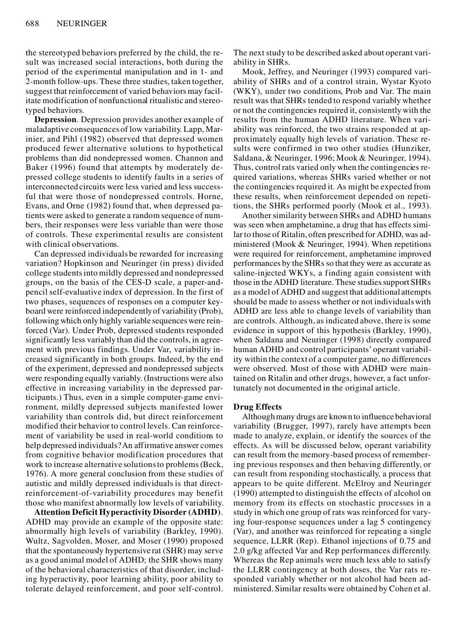the stereotyped behaviors preferred by the child, the result was increased social interactions, both during the period of the experimental manipulation and in 1- and 2-month follow-ups. These three studies, taken together, suggest that reinforcement of varied behaviors may facilitate modification of nonfunctional ritualistic and stereotyped behaviors.

**Depression**. Depression provides another example of maladaptive consequences of low variability. Lapp, Marinier, and Pihl (1982) observed that depressed women produced fewer alternative solutions to hypothetical problems than did nondepressed women. Channon and Baker (1996) found that attempts by moderately depressed college students to identify faults in a series of interconnected circuits were less varied and less successful that were those of nondepressed controls. Horne, Evans, and Orne (1982) found that, when depressed patients were asked to generate a random sequence of numbers, their responses were less variable than were those of controls. These experimental results are consistent with clinical observations.

Can depressed individuals be rewarded for increasing variation? Hopkinson and Neuringer (in press) divided college students into mildly depressed and nondepressed groups, on the basis of the CES-D scale, a paper-andpencil self-evaluative index of depression. In the first of two phases, sequences of responses on a computer keyboard were reinforced independently of variability (Prob), following which only highly variable sequences were reinforced (Var). Under Prob, depressed students responded significantly less variably than did the controls, in agreement with previous findings. Under Var, variability increased significantly in both groups. Indeed, by the end of the experiment, depressed and nondepressed subjects were responding equally variably. (Instructions were also effective in increasing variability in the depressed participants.) Thus, even in a simple computer-game environment, mildly depressed subjects manifested lower variability than controls did, but direct reinforcement modified their behavior to control levels. Can reinforcement of variability be used in real-world conditions to help depressed individuals? An affirmative answer comes from cognitive behavior modification procedures that work to increase alternative solutions to problems (Beck, 1976). A more general conclusion from these studies of autistic and mildly depressed individuals is that directreinforcement-of-variability procedures may benefit those who manifest abnormally low levels of variability.

**Attention Deficit Hyperactivity Disorder (ADHD)**. ADHD may provide an example of the opposite state: abnormally high levels of variability (Barkley, 1990). Wultz, Sagvolden, Moser, and Moser (1990) proposed that the spontaneously hypertensive rat (SHR) may serve as a good animal model of ADHD; the SHR shows many of the behavioral characteristics of that disorder, including hyperactivity, poor learning ability, poor ability to tolerate delayed reinforcement, and poor self-control.

The next study to be described asked about operant variability in SHRs.

Mook, Jeffrey, and Neuringer (1993) compared variability of SHRs and of a control strain, Wystar Kyoto (WKY), under two conditions, Prob and Var. The main result was that SHRs tended to respond variably whether or not the contingencies required it, consistently with the results from the human ADHD literature. When variability was reinforced, the two strains responded at approximately equally high levels of variation. These results were confirmed in two other studies (Hunziker, Saldana, & Neuringer, 1996; Mook & Neuringer, 1994). Thus, control rats varied only when the contingencies required variations, whereas SHRs varied whether or not the contingencies required it. As might be expected from these results, when reinforcement depended on repetitions, the SHRs performed poorly (Mook et al., 1993).

Another similarity between SHRs and ADHD humans was seen when amphetamine, a drug that has effects similar to those of Ritalin, often prescribed for ADHD, was administered (Mook & Neuringer, 1994). When repetitions were required for reinforcement, amphetamine improved performances by the SHRs so that they were as accurate as saline-injected WKYs, a finding again consistent with those in the ADHD literature. These studies support SHRs as a model of ADHD and suggest that additional attempts should be made to assess whether or not individuals with ADHD are less able to change levels of variability than are controls. Although, as indicated above, there is some evidence in support of this hypothesis (Barkley, 1990), when Saldana and Neuringer (1998) directly compared human ADHD and control participants' operant variability within the context of a computer game, no differences were observed. Most of those with ADHD were maintained on Ritalin and other drugs, however, a fact unfortunately not documented in the original article.

## **Drug Effects**

Although many drugs are known to influence behavioral variability (Brugger, 1997), rarely have attempts been made to analyze, explain, or identify the sources of the effects. As will be discussed below, operant variability can result from the memory-based process of remembering previous responses and then behaving differently, or can result from responding stochastically, a process that appears to be quite different. McElroy and Neuringer (1990) attempted to distinguish the effects of alcohol on memory from its effects on stochastic processes in a study in which one group of rats was reinforced for varying four-response sequences under a lag 5 contingency (Var), and another was reinforced for repeating a single sequence, LLRR (Rep). Ethanol injections of 0.75 and 2.0 g/kg affected Var and Rep performances differently. Whereas the Rep animals were much less able to satisfy the LLRR contingency at both doses, the Var rats responded variably whether or not alcohol had been administered. Similar results were obtained by Cohen et al.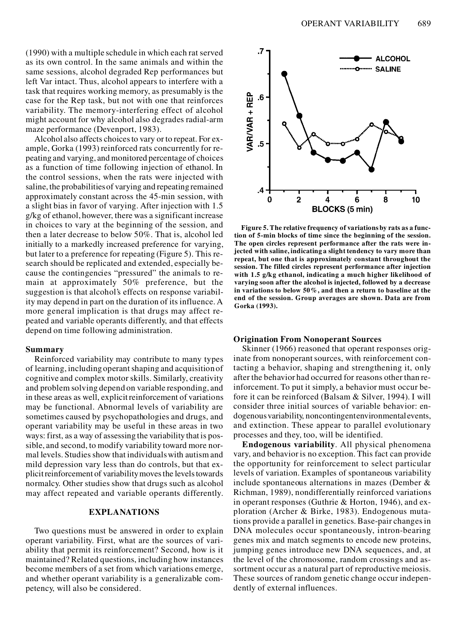(1990) with a multiple schedule in which each rat served as its own control. In the same animals and within the same sessions, alcohol degraded Rep performances but left Var intact. Thus, alcohol appears to interfere with a task that requires working memory, as presumably is the case for the Rep task, but not with one that reinforces variability. The memory-interfering effect of alcohol might account for why alcohol also degrades radial-arm maze performance (Devenport, 1983).

Alcohol also affects choices to vary or to repeat. For example, Gorka (1993) reinforced rats concurrently for repeating and varying, and monitored percentage of choices as a function of time following injection of ethanol. In the control sessions, when the rats were injected with saline, the probabilities of varying and repeating remained approximately constant across the 45-min session, with a slight bias in favor of varying. After injection with 1.5 g/kg of ethanol, however, there was a significant increase in choices to vary at the beginning of the session, and then a later decrease to below 50%. That is, alcohol led initially to a markedly increased preference for varying, but later to a preference for repeating (Figure 5). This research should be replicated and extended, especially because the contingencies "pressured" the animals to remain at approximately 50% preference, but the suggestion is that alcohol's effects on response variability may depend in part on the duration of its influence. A more general implication is that drugs may affect repeated and variable operants differently, and that effects depend on time following administration.

## **Summary**

Reinforced variability may contribute to many types of learning, including operant shaping and acquisition of cognitive and complex motor skills. Similarly, creativity and problem solving depend on variable responding, and in these areas as well, explicit reinforcement of variations may be functional. Abnormal levels of variability are sometimes caused by psychopathologies and drugs, and operant variability may be useful in these areas in two ways: first, as a way of assessing the variability that is possible, and second, to modify variability toward more normal levels. Studies show that individuals with autism and mild depression vary less than do controls, but that explicit reinforcement of variability moves the levels towards normalcy. Other studies show that drugs such as alcohol may affect repeated and variable operants differently.

## **EXPLANATIONS**

Two questions must be answered in order to explain operant variability. First, what are the sources of variability that permit its reinforcement? Second, how is it maintained? Related questions, including how instances become members of a set from which variations emerge, and whether operant variability is a generalizable competency, will also be considered.



**Figure 5. The relative frequency of variations by rats as a function of 5-min blocks of time since the beginning of the session. The open circles represent performance after the rats were injected with saline, indicating a slight tendency to vary more than repeat, but one that is approximately constant throughout the session. The filled circles represent performance after injection with 1.5 g/kg ethanol, indicating a much higher likelihood of varying soon after the alcohol is injected, followed by a decrease in variations to below 50%, and then a return to baseline at the end of the session. Group averages are shown. Data are from Gorka (1993).**

## **Origination From Nonoperant Sources**

Skinner (1966) reasoned that operant responses originate from nonoperant sources, with reinforcement contacting a behavior, shaping and strengthening it, only after the behavior had occurred for reasons other than reinforcement. To put it simply, a behavior must occur before it can be reinforced (Balsam & Silver, 1994). I will consider three initial sources of variable behavior: endogenous variability, noncontingent environmental events, and extinction. These appear to parallel evolutionary processes and they, too, will be identified.

**Endogenous variability**. All physical phenomena vary, and behavior is no exception. This fact can provide the opportunity for reinforcement to select particular levels of variation. Examples of spontaneous variability include spontaneous alternations in mazes (Dember & Richman, 1989), nondifferentially reinforced variations in operant responses (Guthrie & Horton, 1946), and exploration (Archer & Birke, 1983). Endogenous mutations provide a parallel in genetics. Base-pair changes in DNA molecules occur spontaneously, intron-bearing genes mix and match segments to encode new proteins, jumping genes introduce new DNA sequences, and, at the level of the chromosome, random crossings and assortment occur as a natural part of reproductive meiosis. These sources of random genetic change occur independently of external influences.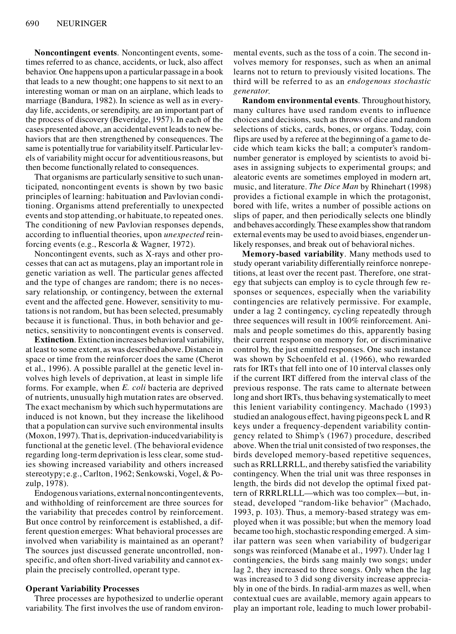**Noncontingent events**. Noncontingent events, sometimes referred to as chance, accidents, or luck, also affect behavior. One happens upon a particular passage in a book that leads to a new thought; one happens to sit next to an interesting woman or man on an airplane, which leads to marriage (Bandura, 1982). In science as well as in everyday life, accidents, or serendipity, are an important part of the process of discovery (Beveridge, 1957). In each of the cases presented above, an accidental event leads to new behaviors that are then strengthened by consequences. The same is potentially true for variability itself. Particular levels of variability might occur for adventitious reasons, but then become functionally related to consequences.

That organisms are particularly sensitive to such unanticipated, noncontingent events is shown by two basic principles of learning: habituation and Pavlovian conditioning. Organisms attend preferentially to unexpected events and stop attending, or habituate, to repeated ones. The conditioning of new Pavlovian responses depends, according to influential theories, upon *unexpected* reinforcing events (e.g., Rescorla & Wagner, 1972).

Noncontingent events, such as X-rays and other processes that can act as mutagens, play an important role in genetic variation as well. The particular genes affected and the type of changes are random; there is no necessary relationship, or contingency, between the external event and the affected gene. However, sensitivity to mutations is not random, but has been selected, presumably because it is functional. Thus, in both behavior and genetics, sensitivity to noncontingent events is conserved.

**Extinction**. Extinction increases behavioral variability, at least to some extent, as was described above. Distance in space or time from the reinforcer does the same (Cherot et al., 1996). A possible parallel at the genetic level involves high levels of deprivation, at least in simple life forms. For example, when *E. coli* bacteria are deprived of nutrients, unusually high mutation rates are observed. The exact mechanism by which such hypermutations are induced is not known, but they increase the likelihood that a population can survive such environmental insults (Moxon, 1997). That is, deprivation-induced variability is functional at the genetic level. (The behavioral evidence regarding long-term deprivation is less clear, some studies showing increased variability and others increased stereotypy; e.g., Carlton, 1962; Senkowski, Vogel, & Pozulp, 1978).

Endogenous variations, external noncontingentevents, and withholding of reinforcement are three sources for the variability that precedes control by reinforcement. But once control by reinforcement is established, a different question emerges: What behavioral processes are involved when variability is maintained as an operant? The sources just discussed generate uncontrolled, nonspecific, and often short-lived variability and cannot explain the precisely controlled, operant type.

## **Operant Variability Processes**

Three processes are hypothesized to underlie operant variability. The first involves the use of random environmental events, such as the toss of a coin. The second involves memory for responses, such as when an animal learns not to return to previously visited locations. The third will be referred to as an *endogenous stochastic generator*.

**Random environmental events**. Throughout history, many cultures have used random events to influence choices and decisions, such as throws of dice and random selections of sticks, cards, bones, or organs. Today, coin flips are used by a referee at the beginning of a game to decide which team kicks the ball; a computer's randomnumber generator is employed by scientists to avoid biases in assigning subjects to experimental groups; and aleatoric events are sometimes employed in modern art, music, and literature. *The Dice Man* by Rhinehart (1998) provides a fictional example in which the protagonist, bored with life, writes a number of possible actions on slips of paper, and then periodically selects one blindly and behaves accordingly. These examples show that random external events may be used to avoid biases, engender unlikely responses, and break out of behavioral niches.

**Memory-based variability**. Many methods used to study operant variability differentially reinforce nonrepetitions, at least over the recent past. Therefore, one strategy that subjects can employ is to cycle through few responses or sequences, especially when the variability contingencies are relatively permissive. For example, under a lag 2 contingency, cycling repeatedly through three sequences will result in 100% reinforcement. Animals and people sometimes do this, apparently basing their current response on memory for, or discriminative control by, the just emitted responses. One such instance was shown by Schoenfeld et al. (1966), who rewarded rats for IRTs that fell into one of 10 interval classes only if the current IRT differed from the interval class of the previous response. The rats came to alternate between long and short IRTs, thus behaving systematically to meet this lenient variability contingency. Machado (1993) studied an analogous effect, having pigeons peck L and R keys under a frequency-dependent variability contin gency related to Shimp's (1967) procedure, described above. When the trial unit consisted of two responses, the birds developed memory-based repetitive sequences, such as RRLLRRLL, and thereby satisfied the variability contingency. When the trial unit was three responses in length, the birds did not develop the optimal fixed pattern of RRRLRLLL—which was too complex—but, instead, developed "random-like behavior" (Machado, 1993, p. 103). Thus, a memory-based strategy was employed when it was possible; but when the memory load became too high, stochastic responding emerged. A similar pattern was seen when variability of budgerigar songs was reinforced (Manabe et al., 1997). Under lag 1 contingencies, the birds sang mainly two songs; under lag 2, they increased to three songs. Only when the lag was increased to 3 did song diversity increase appreciably in one of the birds. In radial-arm mazes as well, when contextual cues are available, memory again appears to play an important role, leading to much lower probabil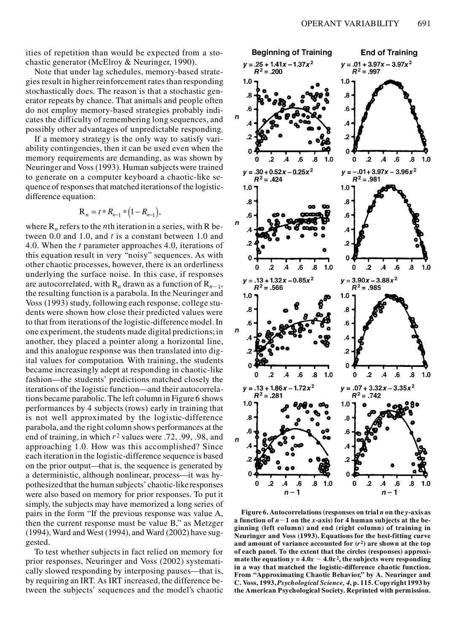ities of repetition than would be expected from a stochastic generator (McElroy & Neuringer, 1990).

Note that under lag schedules, memory-based strategies result in higher reinforcement rates than responding stochastically does. The reason is that a stochastic generator repeats by chance. That animals and people often do not employ memory-based strategies probably indicates the difficulty of remembering long sequences, and possibly other advantages of unpredictable responding.

If a memory strategy is the only way to satisfy variability contingencies, then it can be used even when the memory requirements are demanding, as was shown by Neuringer and Voss (1993). Human subjects were trained to generate on a computer keyboard a chaotic-like sequence of responses that matched iterations of the logisticdifference equation:

$$
R_n = t * R_{n-1} * (1 - R_{n-1}),
$$

where  $R_n$  refers to the *n*th iteration in a series, with R between 0.0 and 1.0, and *t* is a constant between 1.0 and 4.0. When the *t* parameter approaches 4.0, iterations of this equation result in very "noisy" sequences. As with other chaotic processes, however, there is an orderliness underlying the surface noise. In this case, if responses are autocorrelated, with  $R_n$  drawn as a function of  $R_{n-1}$ , the resulting function is a parabola. In the Neuringer and Voss (1993) study, following each response, college students were shown how close their predicted values were to that from iterations of the logistic-differencemodel. In one experiment, the students made digital predictions; in  $\pi$ another, they placed a pointer along a horizontal line, and this analogue response was then translated into digital values for computation. With training, the students became increasingly adept at responding in chaotic-like fashion—the students' predictions matched closely the iterations of the logistic function—and their autocorrelations became parabolic. The left column in Figure 6 shows performances by 4 subjects (rows) early in training that is not well approximated by the logistic-difference parabola, and the right column shows performances at the end of training, in which  $r^2$  values were .72, .99, .98, and approaching 1.0. How was this accomplished? Since each iteration in the logistic-difference sequence is based on the prior output—that is, the sequence is generated by a deterministic, although nonlinear, process—it was hypothesized that the human subjects' chaotic-like responses were also based on memory for prior responses. To put it simply, the subjects may have memorized a long series of pairs in the form "If the previous response was value A, then the current response must be value B," as Metzger (1994), Ward and West (1994), and Ward (2002) have suggested.

To test whether subjects in fact relied on memory for prior responses, Neuringer and Voss (2002) systematically slowed responding by interposing pauses—that is, by requiring an IRT. As IRT increased, the difference between the subjects' sequences and the model's chaotic



**Figure 6. Autocorrelations (responses on trial** *n* **on the** *y***-axis as** a function of  $n-1$  on the *x*-axis) for 4 human subjects at the be**ginning (left column) and end (right column) of training in Neuringer and Voss (1993). Equations for the best-fitting curve and amount of variance accounted for (***r* **<sup>2</sup>) are shown at the top of each panel. To the extent that the circles (responses) approxi mate the equation**  $y = 4.0x - 4.0x^2$ **, the subjects were responding in a way that matched the logistic-difference chaotic function. From "Approximating Chaotic Behavior," by A. Neuringer and C. Voss, 1993,** *Psychological Science, 4***, p. 115. Copyright 1993 by the American Psychological Society. Reprinted with permission.**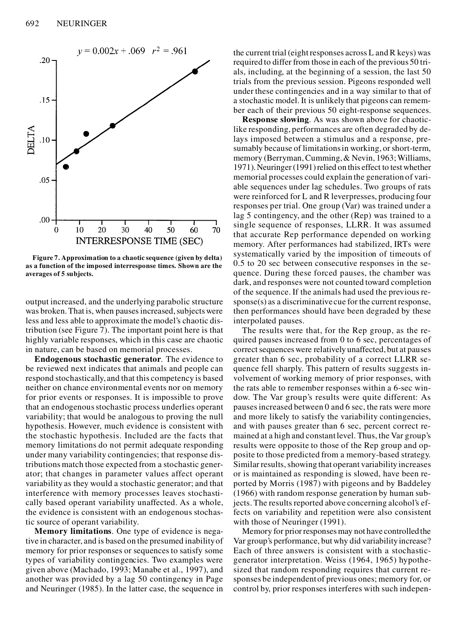

**Figure 7. Approximation to a chaotic sequence (given by delta) as a function of the imposed interresponse times. Shown are the averages of 5 subjects.**

output increased, and the underlying parabolic structure was broken. That is, when pauses increased, subjects were less and less able to approximate the model's chaotic distribution (see Figure 7). The important point here is that highly variable responses, which in this case are chaotic in nature, can be based on memorial processes.

**Endogenous stochastic generator**. The evidence to be reviewed next indicates that animals and people can respond stochastically, and that this competency is based neither on chance environmental events nor on memory for prior events or responses. It is impossible to prove that an endogenous stochastic process underlies operant variability; that would be analogous to proving the null hypothesis. However, much evidence is consistent with the stochastic hypothesis. Included are the facts that memory limitations do not permit adequate responding under many variability contingencies; that response distributionsmatch those expected from a stochastic generator; that changes in parameter values affect operant variability as they would a stochastic generator; and that interference with memory processes leaves stochastically based operant variability unaffected. As a whole, the evidence is consistent with an endogenous stochastic source of operant variability.

**Memory limitations**. One type of evidence is negative in character, and is based on the presumed inability of memory for prior responses or sequences to satisfy some types of variability contingencies. Two examples were given above (Machado, 1993; Manabe et al., 1997), and another was provided by a lag 50 contingency in Page and Neuringer (1985). In the latter case, the sequence in

the current trial (eight responses across L and R keys) was required to differ from those in each of the previous 50 trials, including, at the beginning of a session, the last 50 trials from the previous session. Pigeons responded well under these contingencies and in a way similar to that of a stochastic model. It is unlikely that pigeons can remember each of their previous 50 eight-response sequences.

**Response slowing**. As was shown above for chaoticlike responding, performances are often degraded by delays imposed between a stimulus and a response, presumably because of limitations in working, or short-term, memory (Berryman, Cumming, & Nevin, 1963; Williams, 1971). Neuringer (1991) relied on this effect to test whether memorial processes could explain the generation of variable sequences under lag schedules. Two groups of rats were reinforced for L and R leverpresses, producing four responses per trial. One group (Var) was trained under a lag 5 contingency, and the other (Rep) was trained to a single sequence of responses, LLRR. It was assumed that accurate Rep performance depended on working memory. After performances had stabilized, IRTs were systematically varied by the imposition of timeouts of 0.5 to 20 sec between consecutive responses in the sequence. During these forced pauses, the chamber was dark, and responses were not counted toward completion of the sequence. If the animals had used the previous response(s) as a discriminative cue for the current response, then performances should have been degraded by these interpolated pauses.

The results were that, for the Rep group, as the required pauses increased from 0 to 6 sec, percentages of correct sequences were relatively unaffected, but at pauses greater than 6 sec, probability of a correct LLRR sequence fell sharply. This pattern of results suggests involvement of working memory of prior responses, with the rats able to remember responses within a 6-sec window. The Var group's results were quite different: As pauses increased between 0 and 6 sec, the rats were more and more likely to satisfy the variability contingencies, and with pauses greater than 6 sec, percent correct remained at a high and constant level. Thus, the Var group's results were opposite to those of the Rep group and opposite to those predicted from a memory-based strategy. Similar results, showing that operant variability increases or is maintained as responding is slowed, have been reported by Morris (1987) with pigeons and by Baddeley (1966) with random response generation by human subjects. The results reported above concerning alcohol's effects on variability and repetition were also consistent with those of Neuringer (1991).

Memory for prior responses may not have controlled the Var group's performance, but why did variability increase? Each of three answers is consistent with a stochasticgenerator interpretation. Weiss (1964, 1965) hypothesized that random responding requires that current responses be independentof previous ones; memory for, or control by, prior responses interferes with such indepen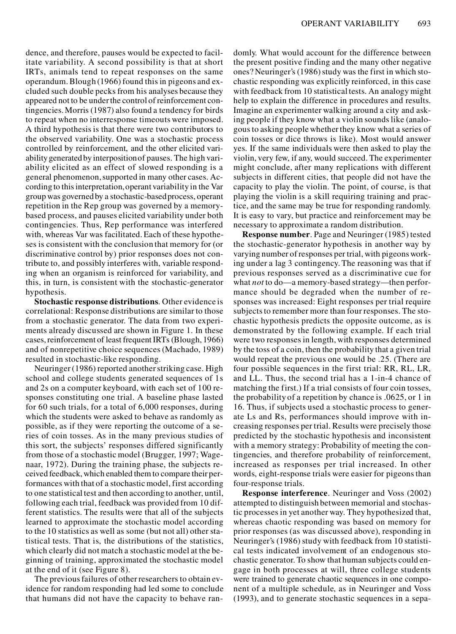dence, and therefore, pauses would be expected to facilitate variability. A second possibility is that at short IRTs, animals tend to repeat responses on the same operandum. Blough (1966) found this in pigeons and excluded such double pecks from his analyses because they appeared not to be under the control of reinforcement contingencies. Morris (1987) also found a tendency for birds to repeat when no interresponse timeouts were imposed. A third hypothesis is that there were two contributors to the observed variability. One was a stochastic process controlled by reinforcement, and the other elicited variability generated by interposition of pauses. The high variability elicited as an effect of slowed responding is a general phenomenon, supported in many other cases. According to this interpretation, operant variability in the Var group was governed by a stochastic-based process, operant repetition in the Rep group was governed by a memorybased process, and pauses elicited variability under both contingencies. Thus, Rep performance was interfered with, whereas Var was facilitated. Each of these hypotheses is consistent with the conclusion that memory for (or discriminative control by) prior responses does not contribute to, and possibly interferes with, variable responding when an organism is reinforced for variability, and this, in turn, is consistent with the stochastic-generator hypothesis.

**Stochastic response distributions**. Other evidence is correlational: Response distributions are similar to those from a stochastic generator. The data from two experiments already discussed are shown in Figure 1. In these cases, reinforcement of least frequent IRTs (Blough, 1966) and of nonrepetitive choice sequences (Machado, 1989) resulted in stochastic-like responding.

Neuringer (1986) reported another striking case. High school and college students generated sequences of 1s and 2s on a computer keyboard, with each set of 100 responses constituting one trial. A baseline phase lasted for 60 such trials, for a total of 6,000 responses, during which the students were asked to behave as randomly as possible, as if they were reporting the outcome of a series of coin tosses. As in the many previous studies of this sort, the subjects' responses differed significantly from those of a stochastic model (Brugger, 1997; Wagenaar, 1972). During the training phase, the subjects received feedback, which enabled them to compare their performances with that of a stochastic model, first according to one statistical test and then according to another, until, following each trial, feedback was provided from 10 different statistics. The results were that all of the subjects learned to approximate the stochastic model according to the 10 statistics as well as some (but not all) other statistical tests. That is, the distributions of the statistics, which clearly did not match a stochastic model at the beginning of training, approximated the stochastic model at the end of it (see Figure 8).

The previous failures of other researchers to obtain evidence for random responding had led some to conclude that humans did not have the capacity to behave randomly. What would account for the difference between the present positive finding and the many other negative ones? Neuringer's (1986) study was the first in which stochastic responding was explicitly reinforced, in this case with feedback from 10 statistical tests. An analogy might help to explain the difference in procedures and results. Imagine an experimenter walking around a city and asking people if they know what a violin sounds like (analogous to asking people whether they know what a series of coin tosses or dice throws is like). Most would answer yes. If the same individuals were then asked to play the violin, very few, if any, would succeed. The experimenter might conclude, after many replications with different subjects in different cities, that people did not have the capacity to play the violin. The point, of course, is that playing the violin is a skill requiring training and practice, and the same may be true for responding randomly. It is easy to vary, but practice and reinforcement may be necessary to approximate a random distribution.

**Response number**. Page and Neuringer (1985) tested the stochastic-generator hypothesis in another way by varying number of responses per trial, with pigeons working under a lag 3 contingency. The reasoning was that if previous responses served as a discriminative cue for what *not* to do—a memory-based strategy—then performance should be degraded when the number of responses was increased: Eight responses per trial require subjects to remember more than four responses. The stochastic hypothesis predicts the opposite outcome, as is demonstrated by the following example. If each trial were two responses in length, with responses determined by the toss of a coin, then the probability that a given trial would repeat the previous one would be .25. (There are four possible sequences in the first trial: RR, RL, LR, and LL. Thus, the second trial has a 1-in-4 chance of matching the first.) If a trial consists of four coin tosses, the probability of a repetition by chance is .0625, or 1 in 16. Thus, if subjects used a stochastic process to generate Ls and Rs, performances should improve with increasing responses per trial. Results were precisely those predicted by the stochastic hypothesis and inconsistent with a memory strategy: Probability of meeting the contingencies, and therefore probability of reinforcement, increased as responses per trial increased. In other words, eight-response trials were easier for pigeons than four-response trials.

**Response interference**. Neuringer and Voss (2002) attempted to distinguish between memorial and stochastic processes in yet another way. They hypothesized that, whereas chaotic responding was based on memory for prior responses (as was discussed above), responding in Neuringer's (1986) study with feedback from 10 statistical tests indicated involvement of an endogenous stochastic generator. To show that human subjects could engage in both processes at will, three college students were trained to generate chaotic sequences in one component of a multiple schedule, as in Neuringer and Voss (1993), and to generate stochastic sequences in a sepa-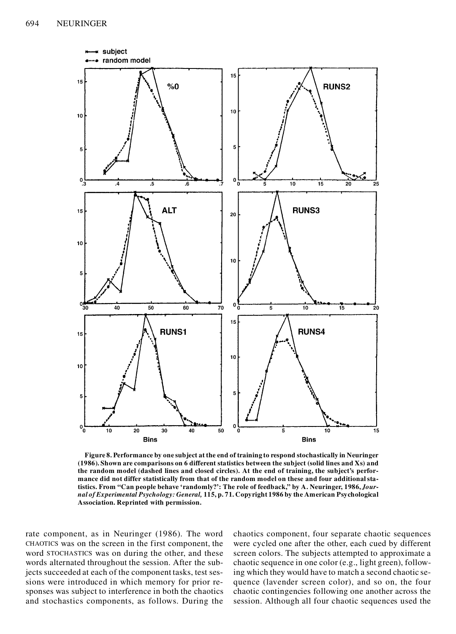

**Figure 8. Performance by one subject at the end of training to respond stochastically in Neuringer (1986). Shown are comparisons on 6 different statistics between the subject (solid lines and Xs) and the random model (dashed lines and closed circles). At the end of training, the subject's perfor mance did not differ statistically from that of the random model on these and four additionalstatistics. From "Can people behave 'randomly?': The role of feedback," by A. Neuringer, 1986,** *Journal of Experimental Psychology: General,* **115, p. 71. Copyright 1986 by the American Psychological Association. Reprinted with permission.**

rate component, as in Neuringer (1986). The word CHAOTICS was on the screen in the first component, the word STOCHASTICS was on during the other, and these words alternated throughout the session. After the subjects succeeded at each of the component tasks, test sessions were introduced in which memory for prior responses was subject to interference in both the chaotics and stochastics components, as follows. During the chaotics component, four separate chaotic sequences were cycled one after the other, each cued by different screen colors. The subjects attempted to approximate a chaotic sequence in one color (e.g., light green), following which they would have to match a second chaotic sequence (lavender screen color), and so on, the four chaotic contingencies following one another across the session. Although all four chaotic sequences used the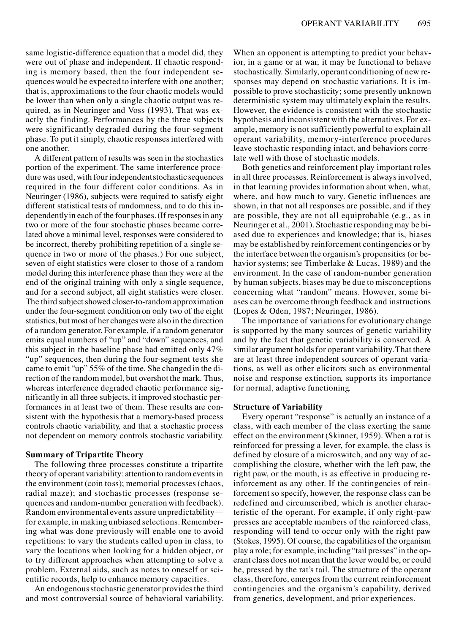same logistic-difference equation that a model did, they were out of phase and independent. If chaotic responding is memory based, then the four independent sequences would be expected to interfere with one another; that is, approximations to the four chaotic models would be lower than when only a single chaotic output was required, as in Neuringer and Voss (1993). That was exactly the finding. Performances by the three subjects were significantly degraded during the four-segment phase. To put it simply, chaotic responses interfered with one another.

A different pattern of results was seen in the stochastics portion of the experiment. The same interference procedure was used, with four independent stochastic sequences required in the four different color conditions. As in Neuringer (1986), subjects were required to satisfy eight different statistical tests of randomness, and to do this independently in each of the four phases. (If responses in any two or more of the four stochastic phases became correlated above a minimal level, responses were considered to be incorrect, thereby prohibiting repetition of a single sequence in two or more of the phases.) For one subject, seven of eight statistics were closer to those of a random model during this interference phase than they were at the end of the original training with only a single sequence, and for a second subject, all eight statistics were closer. The third subject showed closer-to-random approximation under the four-segment condition on only two of the eight statistics, but most of her changes were also in the direction of a random generator. For example, if a random generator emits equal numbers of "up" and "down" sequences, and this subject in the baseline phase had emitted only 47% "up" sequences, then during the four-segment tests she came to emit "up" 55% of the time. She changed in the direction of the random model, but overshot the mark. Thus, whereas interference degraded chaotic performance significantly in all three subjects, it improved stochastic performances in at least two of them. These results are consistent with the hypothesis that a memory-based process controls chaotic variability, and that a stochastic process not dependent on memory controls stochastic variability.

## **Summary of Tripartite Theory**

The following three processes constitute a tripartite theory of operant variability: attention to random events in the environment (coin toss); memorial processes (chaos, radial maze); and stochastic processes (response sequences and random-number generation with feedback). Random environmental events assure unpredictability for example, in making unbiased selections.Remembering what was done previously will enable one to avoid repetitions: to vary the students called upon in class, to vary the locations when looking for a hidden object, or to try different approaches when attempting to solve a problem. External aids, such as notes to oneself or scientific records, help to enhance memory capacities.

An endogenous stochastic generator provides the third and most controversial source of behavioral variability.

When an opponent is attempting to predict your behavior, in a game or at war, it may be functional to behave stochastically. Similarly, operant conditioning of new responses may depend on stochastic variations. It is impossible to prove stochasticity; some presently unknown deterministic system may ultimately explain the results. However, the evidence is consistent with the stochastic hypothesis and inconsistentwith the alternatives. For example, memory is not sufficiently powerful to explain all operant variability, memory-interference procedures leave stochastic responding intact, and behaviors correlate well with those of stochastic models.

Both genetics and reinforcement play important roles in all three processes. Reinforcement is always involved, in that learning provides information about when, what, where, and how much to vary. Genetic influences are shown, in that not all responses are possible, and if they are possible, they are not all equiprobable (e.g., as in Neuringer et al., 2001). Stochastic responding may be biased due to experiences and knowledge; that is, biases may be established by reinforcement contingencies or by the interface between the organism's propensities (or behavior systems; see Timberlake & Lucas, 1989) and the environment. In the case of random-number generation by human subjects, biases may be due to misconceptions concerning what "random" means. However, some biases can be overcome through feedback and instructions (Lopes & Oden, 1987; Neuringer, 1986).

The importance of variations for evolutionary change is supported by the many sources of genetic variability and by the fact that genetic variability is conserved. A similar argument holds for operant variability. That there are at least three independent sources of operant variations, as well as other elicitors such as environmental noise and response extinction, supports its importance for normal, adaptive functioning.

## **Structure of Variability**

Every operant "response" is actually an instance of a class, with each member of the class exerting the same effect on the environment (Skinner, 1959). When a rat is reinforced for pressing a lever, for example, the class is defined by closure of a microswitch, and any way of accomplishing the closure, whether with the left paw, the right paw, or the mouth, is as effective in producing reinforcement as any other. If the contingencies of reinforcement so specify, however, the response class can be redefined and circumscribed, which is another characteristic of the operant. For example, if only right-paw presses are acceptable members of the reinforced class, responding will tend to occur only with the right paw (Stokes, 1995). Of course, the capabilities of the organism play a role; for example, including "tail presses" in the operant class does not mean that the lever would be, or could be, pressed by the rat's tail. The structure of the operant class, therefore, emerges from the current reinforcement contingencies and the organism's capability, derived from genetics, development, and prior experiences.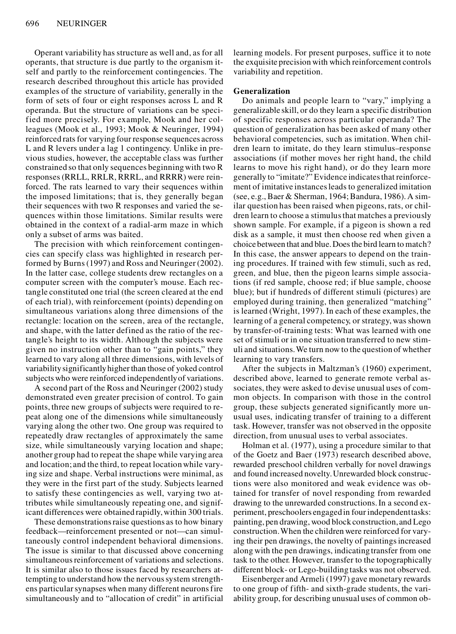Operant variability has structure as well and, as for all operants, that structure is due partly to the organism itself and partly to the reinforcement contingencies. The research described throughout this article has provided examples of the structure of variability, generally in the form of sets of four or eight responses across L and R operanda. But the structure of variations can be specified more precisely. For example, Mook and her colleagues (Mook et al., 1993; Mook & Neuringer, 1994) reinforced rats for varying four response sequences across L and R levers under a lag 1 contingency. Unlike in previous studies, however, the acceptable class was further constrained so that only sequences beginning with two R responses (RRLL, RRLR, RRRL, and RRRR) were reinforced. The rats learned to vary their sequences within the imposed limitations; that is, they generally began their sequences with two R responses and varied the sequences within those limitations. Similar results were obtained in the context of a radial-arm maze in which only a subset of arms was baited.

The precision with which reinforcement contingencies can specify class was highlighted in research performed by Burns (1997) and Ross and Neuringer (2002). In the latter case, college students drew rectangles on a computer screen with the computer's mouse. Each rectangle constituted one trial (the screen cleared at the end of each trial), with reinforcement (points) depending on simultaneous variations along three dimensions of the rectangle: location on the screen, area of the rectangle, and shape, with the latter defined as the ratio of the rectangle's height to its width. Although the subjects were given no instruction other than to "gain points," they learned to vary along all three dimensions, with levels of variability significantly higher than those of yoked control subjects who were reinforced independently of variations.

A second part of the Ross and Neuringer (2002) study demonstrated even greater precision of control. To gain points, three new groups of subjects were required to repeat along one of the dimensions while simultaneously varying along the other two. One group was required to repeatedly draw rectangles of approximately the same size, while simultaneously varying location and shape; another group had to repeat the shape while varying area and location; and the third, to repeat location while varying size and shape. Verbal instructions were minimal, as they were in the first part of the study. Subjects learned to satisfy these contingencies as well, varying two attributes while simultaneously repeating one, and significant differences were obtained rapidly, within 300 trials.

These demonstrations raise questions as to how binary feedback—reinforcement presented or not—can simultaneously control independent behavioral dimensions. The issue is similar to that discussed above concerning simultaneous reinforcement of variations and selections. It is similar also to those issues faced by researchers attempting to understand how the nervous system strengthens particular synapses when many different neurons fire simultaneously and to "allocation of credit" in artificial

learning models. For present purposes, suffice it to note the exquisite precision with which reinforcement controls variability and repetition.

# **Generalization**

Do animals and people learn to "vary," implying a generalizable skill, or do they learn a specific distribution of specific responses across particular operanda? The question of generalization has been asked of many other behavioral competencies, such as imitation. When children learn to imitate, do they learn stimulus–response associations (if mother moves her right hand, the child learns to move his right hand), or do they learn more generally to "imitate?" Evidence indicates that reinforcement of imitative instances leads to generalized imitation (see, e.g., Baer & Sherman, 1964; Bandura, 1986). A similar question has been raised when pigeons, rats, or children learn to choose a stimulus that matches a previously shown sample. For example, if a pigeon is shown a red disk as a sample, it must then choose red when given a choice between that and blue. Does the bird learn to match? In this case, the answer appears to depend on the training procedures. If trained with few stimuli, such as red, green, and blue, then the pigeon learns simple associations (if red sample, choose red; if blue sample, choose blue); but if hundreds of different stimuli (pictures) are employed during training, then generalized "matching" is learned (Wright, 1997). In each of these examples, the learning of a general competency, or strategy, was shown by transfer-of-training tests: What was learned with one set of stimuli or in one situation transferred to new stimuli and situations. We turn now to the question of whether learning to vary transfers.

After the subjects in Maltzman's (1960) experiment, described above, learned to generate remote verbal associates, they were asked to devise unusual uses of common objects. In comparison with those in the control group, these subjects generated significantly more unusual uses, indicating transfer of training to a different task. However, transfer was not observed in the opposite direction, from unusual uses to verbal associates.

Holman et al. (1977), using a procedure similar to that of the Goetz and Baer (1973) research described above, rewarded preschool children verbally for novel drawings and found increased novelty. Unrewarded block constructions were also monitored and weak evidence was obtained for transfer of novel responding from rewarded drawing to the unrewarded constructions. In a second experiment, preschoolers engaged in four independent tasks: painting, pen drawing, wood block construction, and Lego construction. When the children were reinforced for varying their pen drawings, the novelty of paintings increased along with the pen drawings, indicating transfer from one task to the other. However, transfer to the topographically different block- or Lego-building tasks was not observed.

Eisenberger and Armeli (1997) gave monetary rewards to one group of fifth- and sixth-grade students, the variability group, for describing unusual uses of common ob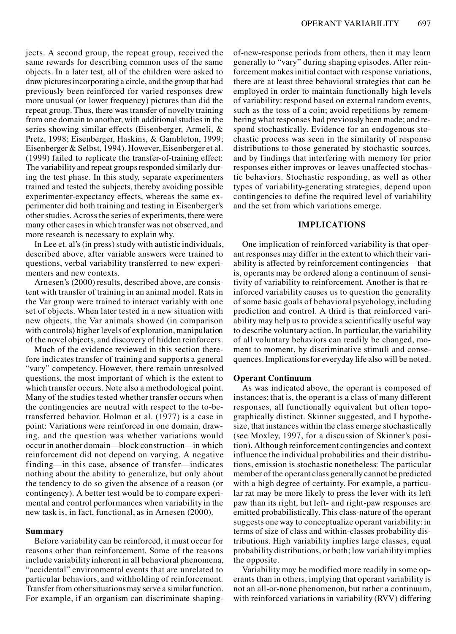jects. A second group, the repeat group, received the same rewards for describing common uses of the same objects. In a later test, all of the children were asked to draw pictures incorporating a circle, and the group that had previously been reinforced for varied responses drew more unusual (or lower frequency) pictures than did the repeat group. Thus, there was transfer of novelty training from one domain to another, with additional studies in the series showing similar effects (Eisenberger, Armeli, & Pretz, 1998; Eisenberger, Haskins, & Gambleton, 1999; Eisenberger & Selbst, 1994). However, Eisenberger et al. (1999) failed to replicate the transfer-of-training effect: The variability and repeat groups responded similarly during the test phase. In this study, separate experimenters trained and tested the subjects, thereby avoiding possible experimenter-expectancy effects, whereas the same experimenter did both training and testing in Eisenberger's other studies. Across the series of experiments, there were many other cases in which transfer was not observed, and more research is necessary to explain why.

In Lee et. al's (in press) study with autistic individuals, described above, after variable answers were trained to questions, verbal variability transferred to new experimenters and new contexts.

Arnesen's (2000) results, described above, are consistent with transfer of training in an animal model. Rats in the Var group were trained to interact variably with one set of objects. When later tested in a new situation with new objects, the Var animals showed (in comparison with controls) higher levels of exploration, manipulation of the novel objects, and discovery of hidden reinforcers.

Much of the evidence reviewed in this section therefore indicates transfer of training and supports a general "vary" competency. However, there remain unresolved questions, the most important of which is the extent to which transfer occurs. Note also a methodological point. Many of the studies tested whether transfer occurs when the contingencies are neutral with respect to the to-betransferred behavior. Holman et al. (1977) is a case in point: Variations were reinforced in one domain, drawing, and the question was whether variations would occur in another domain—block construction—in which reinforcement did not depend on varying. A negative finding—in this case, absence of transfer—indicates nothing about the ability to generalize, but only about the tendency to do so given the absence of a reason (or contingency). A better test would be to compare experimental and control performances when variability in the new task is, in fact, functional, as in Arnesen (2000).

## **Summary**

Before variability can be reinforced, it must occur for reasons other than reinforcement. Some of the reasons include variability inherent in all behavioral phenomena, "accidental" environmental events that are unrelated to particular behaviors, and withholding of reinforcement. Transfer from other situations may serve a similar function. For example, if an organism can discriminate shaping-

of-new-response periods from others, then it may learn generally to "vary" during shaping episodes. After reinforcement makes initial contact with response variations, there are at least three behavioral strategies that can be employed in order to maintain functionally high levels of variability: respond based on external random events, such as the toss of a coin; avoid repetitions by remembering what responses had previously been made; and respond stochastically. Evidence for an endogenous stochastic process was seen in the similarity of response distributions to those generated by stochastic sources, and by findings that interfering with memory for prior responses either improves or leaves unaffected stochastic behaviors. Stochastic responding, as well as other types of variability-generating strategies, depend upon contingencies to define the required level of variability and the set from which variations emerge.

# **IMPLICATIONS**

One implication of reinforced variability is that operant responses may differ in the extent to which their variability is affected by reinforcement contingencies—that is, operants may be ordered along a continuum of sensitivity of variability to reinforcement. Another is that reinforced variability causes us to question the generality of some basic goals of behavioral psychology, including prediction and control. A third is that reinforced variability may help us to provide a scientifically useful way to describe voluntary action. In particular, the variability of all voluntary behaviors can readily be changed, moment to moment, by discriminative stimuli and consequences. Implications for everyday life also will be noted.

## **Operant Continuum**

As was indicated above, the operant is composed of instances; that is, the operant is a class of many different responses, all functionally equivalent but often topographically distinct. Skinner suggested, and I hypothesize, that instances within the class emerge stochastically (see Moxley, 1997, for a discussion of Skinner's position). Although reinforcement contingencies and context influence the individual probabilities and their distributions, emission is stochastic nonetheless: The particular member of the operant class generally cannot be predicted with a high degree of certainty. For example, a particular rat may be more likely to press the lever with its left paw than its right, but left- and right-paw responses are emitted probabilistically. This class-nature of the operant suggests one way to conceptualize operant variability:in terms of size of class and within-classes probability distributions. High variability implies large classes, equal probability distributions, or both; low variability implies the opposite.

Variability may be modified more readily in some operants than in others, implying that operant variability is not an all-or-none phenomenon, but rather a continuum, with reinforced variations in variability (RVV) differing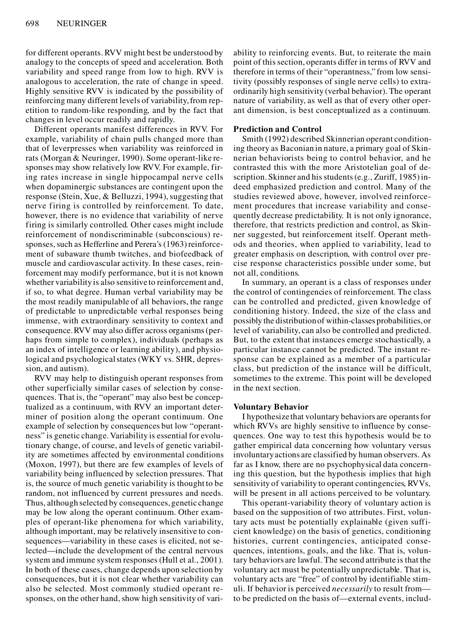for different operants. RVV might best be understood by analogy to the concepts of speed and acceleration. Both variability and speed range from low to high. RVV is analogous to acceleration, the rate of change in speed. Highly sensitive RVV is indicated by the possibility of reinforcing many different levels of variability, from repetition to random-like responding, and by the fact that changes in level occur readily and rapidly.

Different operants manifest differences in RVV. For example, variability of chain pulls changed more than that of leverpresses when variability was reinforced in rats (Morgan & Neuringer, 1990). Some operant-like responses may show relatively low RVV. For example, firing rates increase in single hippocampal nerve cells when dopaminergic substances are contingent upon the response (Stein, Xue, & Belluzzi, 1994), suggesting that nerve firing is controlled by reinforcement. To date, however, there is no evidence that variability of nerve firing is similarly controlled. Other cases might include reinforcement of nondiscriminable (subconscious) responses, such as Hefferline and Perera's (1963) reinforcement of subaware thumb twitches, and biofeedback of muscle and cardiovascular activity. In these cases, reinforcement may modify performance, but it is not known whether variability is also sensitive to reinforcement and, if so, to what degree. Human verbal variability may be the most readily manipulable of all behaviors, the range of predictable to unpredictable verbal responses being immense, with extraordinary sensitivity to context and consequence. RVV may also differ across organisms (perhaps from simple to complex), individuals (perhaps as an index of intelligence or learning ability), and physiological and psychological states (WKY vs. SHR, depression, and autism).

RVV may help to distinguish operant responses from other superficially similar cases of selection by consequences. That is, the "operant" may also best be conceptualized as a continuum, with RVV an important determiner of position along the operant continuum. One example of selection by consequences but low "operantness" is genetic change. Variability is essential for evolutionary change, of course, and levels of genetic variability are sometimes affected by environmental conditions (Moxon, 1997), but there are few examples of levels of variability being influenced by selection pressures. That is, the source of much genetic variability is thought to be random, not influenced by current pressures and needs. Thus, although selected by consequences, genetic change may be low along the operant continuum. Other examples of operant-like phenomena for which variability, although important, may be relatively insensitive to consequences—variability in these cases is elicited, not selected—include the development of the central nervous system and immune system responses (Hull et al., 2001). In both of these cases, change depends upon selection by consequences, but it is not clear whether variability can also be selected. Most commonly studied operant responses, on the other hand, show high sensitivity of vari-

ability to reinforcing events. But, to reiterate the main point of this section, operants differ in terms of RVV and therefore in terms of their "operantness," from low sensitivity (possibly responses of single nerve cells) to extraordinarily high sensitivity (verbal behavior). The operant nature of variability, as well as that of every other operant dimension, is best conceptualized as a continuum.

# **Prediction and Control**

Smith (1992) described Skinnerian operant conditioning theory as Baconian in nature, a primary goal of Skinnerian behaviorists being to control behavior, and he contrasted this with the more Aristotelian goal of description. Skinner and his students (e.g., Zuriff, 1985) indeed emphasized prediction and control. Many of the studies reviewed above, however, involved reinforcement procedures that increase variability and consequently decrease predictability. It is not only ignorance, therefore, that restricts prediction and control, as Skinner suggested, but reinforcement itself. Operant methods and theories, when applied to variability, lead to greater emphasis on description, with control over precise response characteristics possible under some, but not all, conditions.

In summary, an operant is a class of responses under the control of contingencies of reinforcement. The class can be controlled and predicted, given knowledge of conditioning history. Indeed, the size of the class and possibly the distribution of within-classes probabilities, or level of variability, can also be controlled and predicted. But, to the extent that instances emerge stochastically, a particular instance cannot be predicted. The instant response can be explained as a member of a particular class, but prediction of the instance will be difficult, sometimes to the extreme. This point will be developed in the next section.

## **Voluntary Behavior**

I hypothesize that voluntary behaviors are operants for which RVVs are highly sensitive to influence by consequences. One way to test this hypothesis would be to gather empirical data concerning how voluntary versus involuntary actions are classified by human observers. As far as I know, there are no psychophysical data concerning this question, but the hypothesis implies that high sensitivity of variability to operant contingencies, RVVs, will be present in all actions perceived to be voluntary.

This operant-variability theory of voluntary action is based on the supposition of two attributes. First, voluntary acts must be potentially explainable (given sufficient knowledge) on the basis of genetics, conditioning histories, current contingencies, anticipated consequences, intentions, goals, and the like. That is, voluntary behaviors are lawful. The second attribute is that the voluntary act must be potentially unpredictable. That is, voluntary acts are "free" of control by identifiable stimuli. If behavior is perceived *necessarily* to result from to be predicted on the basis of—external events, includ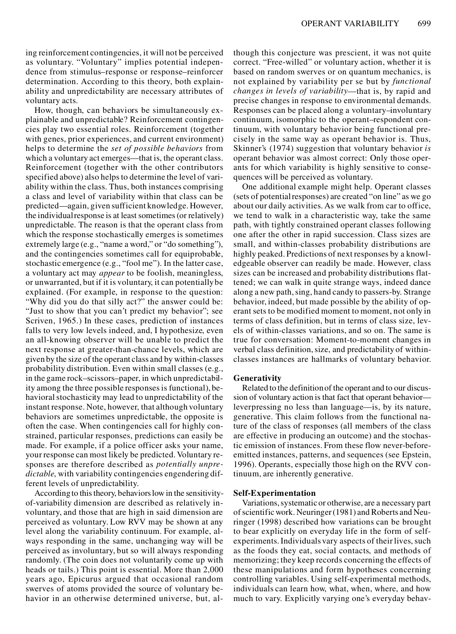ing reinforcement contingencies, it will not be perceived as voluntary. "Voluntary" implies potential independence from stimulus–response or response–reinforcer determination. According to this theory, both explainability and unpredictability are necessary attributes of voluntary acts.

How, though, can behaviors be simultaneously explainable and unpredictable? Reinforcement contingencies play two essential roles. Reinforcement (together with genes, prior experiences, and current environment) helps to determine the *set of possible behaviors* from which a voluntary act emerges—that is, the operant class. Reinforcement (together with the other contributors specified above) also helps to determine the level of variability within the class. Thus, both instances comprising a class and level of variability within that class can be predicted—again, given sufficient knowledge. However, the individual response is at least sometimes (or relatively) unpredictable. The reason is that the operant class from which the response stochastically emerges is sometimes extremely large (e.g., "name a word," or "do something"), and the contingencies sometimes call for equiprobable, stochastic emergence (e.g., "fool me"). In the latter case, a voluntary act may *appear* to be foolish, meaningless, or unwarranted, but if it is voluntary, it can potentially be explained. (For example, in response to the question: "Why did you do that silly act?" the answer could be: "Just to show that you can't predict my behavior"; see Scriven, 1965.) In these cases, prediction of instances falls to very low levels indeed, and, I hypothesize, even an all-knowing observer will be unable to predict the next response at greater-than-chance levels, which are given by the size of the operant class and by within-classes probability distribution. Even within small classes (e.g., in the game rock–scissors–paper, in which unpredictability among the three possible responses is functional), behavioral stochasticity may lead to unpredictability of the instant response. Note, however, that although voluntary behaviors are sometimes unpredictable, the opposite is often the case. When contingencies call for highly constrained, particular responses, predictions can easily be made. For example, if a police officer asks your name, your response can most likely be predicted. Voluntary responses are therefore described as *potentially unpredictable*, with variability contingencies engendering different levels of unpredictability.

According to this theory, behaviors low in the sensitivityof-variability dimension are described as relatively involuntary, and those that are high in said dimension are perceived as voluntary. Low RVV may be shown at any level along the variability continuum. For example, always responding in the same, unchanging way will be perceived as involuntary, but so will always responding randomly. (The coin does not voluntarily come up with heads or tails.) This point is essential. More than 2,000 years ago, Epicurus argued that occasional random swerves of atoms provided the source of voluntary behavior in an otherwise determined universe, but, al-

though this conjecture was prescient, it was not quite correct. "Free-willed" or voluntary action, whether it is based on random swerves or on quantum mechanics, is not explained by variability per se but by *functional changes in levels of variability*—that is, by rapid and precise changes in response to environmental demands. Responses can be placed along a voluntary–involuntary continuum, isomorphic to the operant–respondent continuum, with voluntary behavior being functional precisely in the same way as operant behavior is. Thus, Skinner's (1974) suggestion that voluntary behavior *is* operant behavior was almost correct: Only those operants for which variability is highly sensitive to consequences will be perceived as voluntary.

One additional example might help. Operant classes (sets of potential responses) are created "on line" as we go about our daily activities. As we walk from car to office, we tend to walk in a characteristic way, take the same path, with tightly constrained operant classes following one after the other in rapid succession. Class sizes are small, and within-classes probability distributions are highly peaked. Predictions of next responses by a knowledgeable observer can readily be made. However, class sizes can be increased and probability distributions flattened; we can walk in quite strange ways, indeed dance along a new path, sing, hand candy to passers-by. Strange behavior, indeed, but made possible by the ability of operant sets to be modified moment to moment, not only in terms of class definition, but in terms of class size, levels of within-classes variations, and so on. The same is true for conversation: Moment-to-moment changes in verbal class definition, size, and predictability of withinclasses instances are hallmarks of voluntary behavior.

## **Generativity**

Related to the definition of the operant and to our discussion of voluntary action is that fact that operant behavior leverpressing no less than language—is, by its nature, generative. This claim follows from the functional nature of the class of responses (all members of the class are effective in producing an outcome) and the stochastic emission of instances. From these flow never-beforeemitted instances, patterns, and sequences (see Epstein, 1996). Operants, especially those high on the RVV continuum, are inherently generative.

## **Self-Experimentation**

Variations, systematic or otherwise, are a necessary part of scientific work. Neuringer (1981) and Roberts and Neuringer (1998) described how variations can be brought to bear explicitly on everyday life in the form of selfexperiments. Individuals vary aspects of their lives, such as the foods they eat, social contacts, and methods of memorizing; they keep records concerning the effects of these manipulations and form hypotheses concerning controlling variables. Using self-experimental methods, individuals can learn how, what, when, where, and how much to vary. Explicitly varying one's everyday behav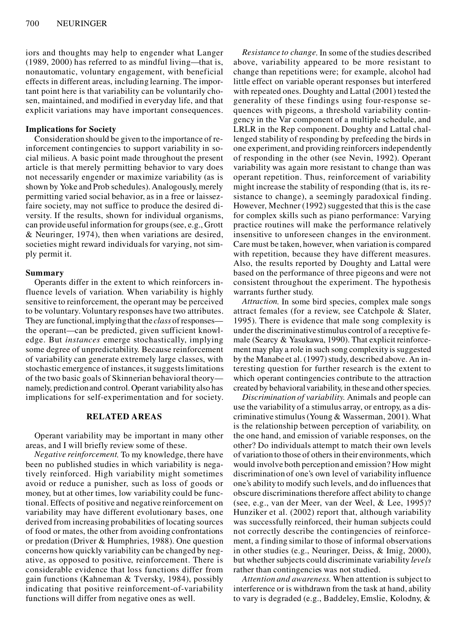iors and thoughts may help to engender what Langer (1989, 2000) has referred to as mindful living—that is, nonautomatic, voluntary engagement, with beneficial effects in different areas, including learning. The important point here is that variability can be voluntarily chosen, maintained, and modified in everyday life, and that explicit variations may have important consequences.

## **Implications for Society**

Considerationshould be given to the importance of reinforcement contingencies to support variability in social milieus. A basic point made throughout the present article is that merely permitting behavior to vary does not necessarily engender or maximize variability (as is shown by Yoke and Prob schedules). Analogously, merely permitting varied social behavior, as in a free or laissezfaire society, may not suffice to produce the desired diversity. If the results, shown for individual organisms, can provide useful information for groups (see, e.g., Grott & Neuringer, 1974), then when variations are desired, societies might reward individuals for varying, not simply permit it.

## **Summary**

Operants differ in the extent to which reinforcers influence levels of variation. When variability is highly sensitive to reinforcement, the operant may be perceived to be voluntary. Voluntary responses have two attributes. They are functional, implying that the *class* of responses the operant—can be predicted, given sufficient knowledge. But *instances* emerge stochastically, implying some degree of unpredictability. Because reinforcement of variability can generate extremely large classes, with stochastic emergence of instances, it suggests limitations of the two basic goals of Skinnerian behavioral theory namely, prediction and control. Operant variability also has implications for self-experimentation and for society.

## **RELATED AREAS**

Operant variability may be important in many other areas, and I will briefly review some of these.

*Negative reinforcement*. To my knowledge, there have been no published studies in which variability is negatively reinforced. High variability might sometimes avoid or reduce a punisher, such as loss of goods or money, but at other times, low variability could be functional. Effects of positive and negative reinforcement on variability may have different evolutionary bases, one derived from increasing probabilities of locating sources of food or mates, the other from avoiding confrontations or predation (Driver & Humphries, 1988). One question concerns how quickly variability can be changed by negative, as opposed to positive, reinforcement. There is considerable evidence that loss functions differ from gain functions (Kahneman & Tversky, 1984), possibly indicating that positive reinforcement-of-variability functions will differ from negative ones as well.

*Resistance to change*. In some of the studies described above, variability appeared to be more resistant to change than repetitions were; for example, alcohol had little effect on variable operant responses but interfered with repeated ones. Doughty and Lattal (2001) tested the generality of these findings using four-response sequences with pigeons, a threshold variability contin gency in the Var component of a multiple schedule, and LRLR in the Rep component. Doughty and Lattal challenged stability of responding by prefeeding the birds in one experiment, and providing reinforcers independently of responding in the other (see Nevin, 1992). Operant variability was again more resistant to change than was operant repetition. Thus, reinforcement of variability might increase the stability of responding (that is, its resistance to change), a seemingly paradoxical finding. However, Mechner (1992) suggested that this is the case for complex skills such as piano performance: Varying practice routines will make the performance relatively insensitive to unforeseen changes in the environment. Care must be taken, however, when variation is compared with repetition, because they have different measures. Also, the results reported by Doughty and Lattal were based on the performance of three pigeons and were not consistent throughout the experiment. The hypothesis warrants further study.

*Attraction*. In some bird species, complex male songs attract females (for a review, see Catchpole & Slater, 1995). There is evidence that male song complexity is under the discriminative stimulus control of a receptive female (Searcy & Yasukawa, 1990). That explicit reinforcement may play a role in such song complexity is suggested by the Manabe et al. (1997) study, described above. An interesting question for further research is the extent to which operant contingencies contribute to the attraction created by behavioral variability, in these and other species.

*Discrimination of variability*. Animals and people can use the variability of a stimulus array, or entropy, as a discriminative stimulus (Young & Wasserman, 2001). What is the relationship between perception of variability, on the one hand, and emission of variable responses, on the other? Do individuals attempt to match their own levels of variation to those of others in their environments, which would involve both perception and emission? How might discrimination of one's own level of variability influence one's ability to modify such levels, and do influences that obscure discriminations therefore affect ability to change (see, e.g., van der Meer, van der Weel, & Lee, 1995)? Hunziker et al. (2002) report that, although variability was successfully reinforced, their human subjects could not correctly describe the contingencies of reinforce ment, a finding similar to those of informal observations in other studies (e.g., Neuringer, Deiss, & Imig, 2000), but whether subjects could discriminate variability *levels* rather than contingencies was not studied.

*Attention and awareness*. When attention is subject to interference or is withdrawn from the task at hand, ability to vary is degraded (e.g., Baddeley, Emslie, Kolodny, &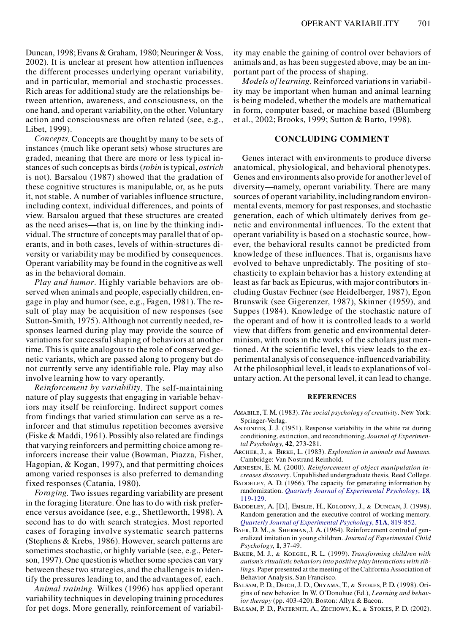Duncan, 1998; Evans & Graham, 1980; Neuringer & Voss, 2002). It is unclear at present how attention influences the different processes underlying operant variability, and in particular, memorial and stochastic processes. Rich areas for additional study are the relationships between attention, awareness, and consciousness, on the one hand, and operant variability, on the other. Voluntary action and consciousness are often related (see, e.g., Libet, 1999).

*Concepts*. Concepts are thought by many to be sets of instances (much like operant sets) whose structures are graded, meaning that there are more or less typical instances of such concepts as birds (*robin* is typical, *ostrich* is not). Barsalou (1987) showed that the gradation of these cognitive structures is manipulable, or, as he puts it, not stable. A number of variables influence structure, including context, individual differences, and points of view. Barsalou argued that these structures are created as the need arises—that is, on line by the thinking individual. The structure of concepts may parallel that of operants, and in both cases, levels of within-structures diversity or variability may be modified by consequences. Operant variability may be found in the cognitive as well as in the behavioral domain.

*Play and humor*. Highly variable behaviors are observed when animals and people, especially children, engage in play and humor (see, e.g., Fagen, 1981). The result of play may be acquisition of new responses (see Sutton-Smith, 1975). Although not currently needed, responses learned during play may provide the source of variations for successful shaping of behaviors at another time. This is quite analogous to the role of conserved genetic variants, which are passed along to progeny but do not currently serve any identifiable role. Play may also involve learning how to vary operantly.

*Reinforcement by variability*. The self-maintaining nature of play suggests that engaging in variable behaviors may itself be reinforcing. Indirect support comes from findings that varied stimulation can serve as a reinforcer and that stimulus repetition becomes aversive (Fiske & Maddi, 1961). Possibly also related are findings that varying reinforcers and permitting choice among reinforcers increase their value (Bowman, Piazza, Fisher, Hagopian, & Kogan, 1997), and that permitting choices among varied responses is also preferred to demanding fixed responses (Catania, 1980).

*Foraging*. Two issues regarding variability are present in the foraging literature. One has to do with risk preference versus avoidance (see, e.g., Shettleworth, 1998). A second has to do with search strategies. Most reported cases of foraging involve systematic search patterns (Stephens & Krebs, 1986). However, search patterns are sometimes stochastic, or highly variable (see, e.g., Peterson, 1997). One question is whether some species can vary between these two strategies, and the challenge is to identify the pressures leading to, and the advantages of, each.

*Animal training*. Wilkes (1996) has applied operant variability techniques in developing training procedures for pet dogs. More generally, reinforcement of variability may enable the gaining of control over behaviors of animals and, as has been suggested above, may be an important part of the process of shaping.

*Models of learning*. Reinforced variations in variability may be important when human and animal learning is being modeled, whether the models are mathematical in form, computer based, or machine based (Blumberg et al., 2002; Brooks, 1999; Sutton & Barto, 1998).

# **CONCLUDING COMMENT**

Genes interact with environments to produce diverse anatomical, physiological, and behavioral phenotypes. Genes and environments also provide for another level of diversity—namely, operant variability. There are many sources of operant variability, including random environmental events, memory for past responses, and stochastic generation, each of which ultimately derives from genetic and environmental influences. To the extent that operant variability is based on a stochastic source, however, the behavioral results cannot be predicted from knowledge of these influences. That is, organisms have evolved to behave unpredictably. The positing of stochasticity to explain behavior has a history extending at least as far back as Epicurus, with major contributors including Gustav Fechner (see Heidelberger, 1987), Egon Brunswik (see Gigerenzer, 1987), Skinner (1959), and Suppes (1984). Knowledge of the stochastic nature of the operant and of how it is controlled leads to a world view that differs from genetic and environmental determinism, with roots in the works of the scholars just mentioned. At the scientific level, this view leads to the experimental analysis of consequence-influenced variability. At the philosophical level, it leads to explanationsof voluntary action. At the personal level, it can lead to change.

#### **REFERENCES**

- Amabile, T. M. (1983). *The social psychology of creativity*. New York: Springer-Verlag.
- ANTONITIS, J. J. (1951). Response variability in the white rat during conditioning, extinction, and reconditioning. *Journal of Experimental Psychology*, **42**, 273-281.
- Archer, J., & Birke, L. (1983). *Exploration in animals and humans*. Cambridge: Van Nostrand Reinhold.
- Arnesen, E. M. (2000). *Reinforcement of object manipulation in creases discovery*. Unpublished undergraduate thesis, Reed College.
- BADDELEY, A. D. (1966). The capacity for generating information by randomization. *[Quarterly Journal of Experimental Psychology](http://www.ingentaselect.com/rpsv/cgi-bin/linker?ext=a&reqidx=/0033-555X^28^2918L.119[aid=955972])*, **18**, [119-129.](http://www.ingentaselect.com/rpsv/cgi-bin/linker?ext=a&reqidx=/0033-555X^28^2918L.119[aid=955972])
- Baddeley, A. [D.], Emslie, H., Kolodny, J., & Duncan, J. (1998). Random generation and the executive control of working memory. *[Quarterly Journal of Experimental Psychology](http://www.ingentaselect.com/rpsv/cgi-bin/linker?ext=a&reqidx=/0272-4987^28^2951L.819[aid=25701])*, **51A**, 819-852.
- BAER, D. M., & SHERMAN, J. A. (1964). Reinforcement control of generalized imitation in young children. *Journal of Experimental Child Psychology*, **1**, 37-49.
- Baker, M. J., & Koegel, R. L. (1999). *Transforming children with autism's ritualistic behaviors into positive play interactions with siblings*. Paper presented at the meeting of the California Association of Behavior Analysis, San Francisco.
- Balsam, P. D., Deich, J. D., Ohyama, T., & Stokes, P. D. (1998). Origins of new behavior. In W. O'Donohue (Ed.), *Learning and behavior therapy* (pp. 403-420). Boston: Allyn & Bacon.
- Balsam, P. D., Paterniti, A., Zechowy, K., & Stokes, P. D. (2002).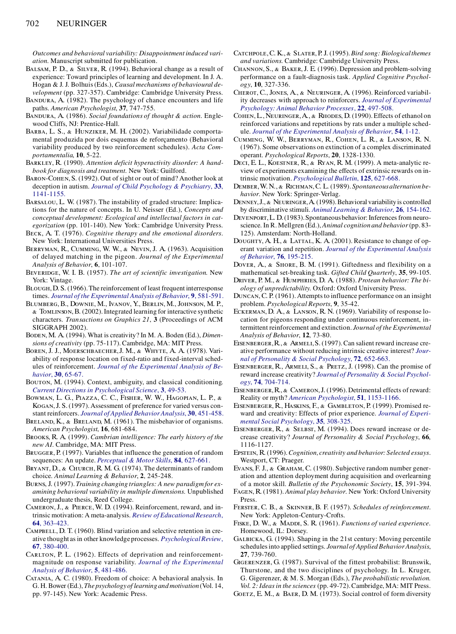*Outcomes and behavioral variability: Disappointment induced variation*. Manuscript submitted for publication.

- BALSAM, P. D., & SILVER, R. (1994). Behavioral change as a result of experience: Toward principles of learning and development. In J. A. Hogan & J. J. Bolhuis (Eds.), *Causal mechanisms of behavioural development* (pp. 327-357). Cambridge: Cambridge University Press.
- BANDURA, A. (1982). The psychology of chance encounters and life paths. *American Psychologist*, **37**, 747-755.
- BANDURA, A. (1986). *Social foundations of thought & action*. Englewood Cliffs, NJ: Prentice-Hall.
- BARBA, L. S., & HUNZIKER, M. H. (2002). Variabilidade comportamental produzida por dois esquemas de reforçamento (Behavioral variability produced by two reinforcement schedules). *Acta Comportamentalia*, **10**, 5-22.
- Barkley, R. (1990). *Attention deficit hyperactivity disorder: A handbook for diagnosis and treatment*. New York: Guilford.
- Baron-Cohen, S. (1992). Out of sight or out of mind? Another look at deception in autism. *[Journal of Child Psychology & Psychiatry](http://www.ingentaselect.com/rpsv/cgi-bin/linker?ext=a&reqidx=/0021-9630^28^2933L.1141[aid=312994])*, **33**, [1141-1155.](http://www.ingentaselect.com/rpsv/cgi-bin/linker?ext=a&reqidx=/0021-9630^28^2933L.1141[aid=312994])
- Barsalou, L. W. (1987). The instability of graded structure: Implications for the nature of concepts. In U. Neisser (Ed.), *Concepts and conceptual development: Ecological and intellectual factors in cat egorization* (pp. 101-140). New York: Cambridge University Press.
- Beck, A. T. (1976). *Cognitive therapy and the emotional disorders*. New York: International Universities Press.
- Berryman, R., Cumming, W. W., & Nevin, J. A. (1963). Acquisition of delayed matching in the pigeon. *Journal of the Experimental Analysis of Behavior*, **6**, 101-107.
- Beveridge, W. I. B. (1957). *The art of scientific investigation*. New York: Vintage.
- Blough, D. S. (1966). The reinforcement of least frequent interresponse times. *[Journal of the Experimental Analysis of Behavior](http://www.ingentaselect.com/rpsv/cgi-bin/linker?ext=a&reqidx=/0022-5002^28^299L.581[aid=2861709])*, **9**, 581-591.
- Blumberg, B., Downie, M., Ivanov, Y., Berlin, M., Johnson, M. P., & Tomlinson, B. (2002). Integrated learning for interactive synthetic characters. *Transactions on Graphics 21*, **3** (Proceedings of ACM SIGGRAPH 2002).
- BODEN, M. A. (1994). What is creativity? In M. A. Boden (Ed.), *Dimensions of creativity* (pp. 75-117). Cambridge, MA: MIT Press.
- Boren, J. J., Moerschbaecher, J. M., & Whyte, A. A. (1978). Variability of response location on fixed-ratio and fixed-interval schedules of reinforcement. *[Journal of the Experimental Analysis of Be](http://www.ingentaselect.com/rpsv/cgi-bin/linker?ext=a&reqidx=/0022-5002^28^2930L.65[aid=2861710])havior*, **30**[, 65-67.](http://www.ingentaselect.com/rpsv/cgi-bin/linker?ext=a&reqidx=/0022-5002^28^2930L.65[aid=2861710])
- Bouton, M. (1994). Context, ambiguity, and classical conditioning. *[Current Directions in Psychological Science](http://www.ingentaselect.com/rpsv/cgi-bin/linker?ext=a&reqidx=/0963-7214^28^293L.49[aid=259265])*, **3**, 49-53.
- Bowman, L. G., Piazza, C. C., Fisher, W. W., Hagopian, L. P., & Kogan, J. S. (1997). Assessment of preference for varied versus con stant reinforcers. *[Journal of Applied Behavior Analysis](http://www.ingentaselect.com/rpsv/cgi-bin/linker?ext=a&reqidx=/0021-8855^28^2930L.451[aid=4710560])*, **30**, 451-458.
- BRELAND, K., & BRELAND, M. (1961). The misbehavior of organisms. *American Psychologist*, **16**, 681-684.
- Brooks, R. A. (1999). *Cambrian intelligence: The early history of the new AI*. Cambridge, MA: MIT Press.
- BRUGGER, P. (1997). Variables that influence the generation of random sequences: An update. *[Perceptual & Motor Skills](http://www.ingentaselect.com/rpsv/cgi-bin/linker?ext=a&reqidx=/0031-5125^28^2984L.627[aid=17875])*, **84**, 627-661.
- BRYANT, D., & CHURCH, R. M. G. (1974). The determinants of random choice. *Animal Learning & Behavior*, **2**, 245-248.
- Burns, J. (1997). *Training changing triangles: A new paradigm for ex amining behavioral variability in multiple dimensions*. Unpublished undergraduate thesis, Reed College.
- Cameron, J., & Pierce, W. D. (1994). Reinforcement, reward, and intrinsic motivation: A meta-analysis. *[Review of Educational Research](http://www.ingentaselect.com/rpsv/cgi-bin/linker?ext=a&reqidx=/0034-6543^28^2964L.363[aid=225195])*, **64**[, 363-423.](http://www.ingentaselect.com/rpsv/cgi-bin/linker?ext=a&reqidx=/0034-6543^28^2964L.363[aid=225195])
- Campbell, D. T. (1960). Blind variation and selective retention in cre ative thought as in other knowledge processes. *[Psychological Review](http://www.ingentaselect.com/rpsv/cgi-bin/linker?ext=a&reqidx=/0033-295X^28^2967L.380[aid=57269])*, **67**[, 380-400.](http://www.ingentaselect.com/rpsv/cgi-bin/linker?ext=a&reqidx=/0033-295X^28^2967L.380[aid=57269])
- CARLTON, P. L. (1962). Effects of deprivation and reinforcementmagnitude on response variability. *[Journal of the Experimental](http://www.ingentaselect.com/rpsv/cgi-bin/linker?ext=a&reqidx=/0022-5002^28^295L.481[aid=4710561]) [Analysis of Behavior](http://www.ingentaselect.com/rpsv/cgi-bin/linker?ext=a&reqidx=/0022-5002^28^295L.481[aid=4710561])*, **5**, 481-486.
- Catania, A. C. (1980). Freedom of choice: A behavioral analysis. In G. H. Bower (Ed.), *The psychology of learning and motivation*(Vol. 14, pp. 97-145). New York: Academic Press.
- Catchpole, C. K., & Slater, P. J. (1995). *Bird song: Biological themes and variations*. Cambridge: Cambridge University Press.
- Channon, S., & Baker, J. E. (1996). Depression and problem-solving performance on a fault-diagnosis task. *Applied Cognitive Psychology*, **10**, 327-336.
- Cherot, C., Jones, A., & Neuringer, A. (1996). Reinforced variability decreases with approach to reinforcers. *[Journal of Experimental](http://www.ingentaselect.com/rpsv/cgi-bin/linker?ext=a&reqidx=/0097-7403^28^2922L.497[aid=4710563]) [Psychology: Animal Behavior Processes](http://www.ingentaselect.com/rpsv/cgi-bin/linker?ext=a&reqidx=/0097-7403^28^2922L.497[aid=4710563])*, **22**, 497-508.
- Cohen, L., Neuringer, A., & Rhodes, D. (1990). Effects of ethanol on reinforced variations and repetitions by rats under a multiple schedule. *[Journal of the Experimental Analysis of Behavior](http://www.ingentaselect.com/rpsv/cgi-bin/linker?ext=a&reqidx=/0022-5002^28^2954L.1[aid=4710564])*, **54**, 1-12.
- Cumming, W. W., Berryman, R., Cohen, L. R., & Lanson, R. N. (1967). Some observations on extinction of a complex discriminated operant. *Psychological Reports*, **20**, 1328-1330.
- DECI, E. L., KOESTNER, R., & RYAN, R. M. (1999). A meta-analytic review of experiments examining the effects of extrinsic rewards on intrinsic motivation. *[Psychological Bulletin](http://www.ingentaselect.com/rpsv/cgi-bin/linker?ext=a&reqidx=/0033-2909^28^29125L.627[aid=963305])*, **125**, 627-668.
- Dember, W. N., & Richman, C. L. (1989). *Spontaneous alternation behavior*. New York: Springer-Verlag.
- DENNEY, J., & NEURINGER, A. (1998). Behavioral variability is controlled by discriminative stimuli. *[Animal Learning & Behavior](http://www.ingentaselect.com/rpsv/cgi-bin/linker?ext=a&reqidx=/0090-4996^28^2926L.154[aid=2861711])*, **26**, 154-162.
- Devenport, L. D. (1983). Spontaneous behavior: Inferences from neuro science. In R. Mellgren (Ed.), *Animal cognition and behavior*(pp. 83- 125). Amsterdam: North-Holland.
- DOUGHTY, A. H., & LATTAL, K. A. (2001). Resistance to change of operant variation and repetition. *[Journal of the Experimental Analysis](http://www.ingentaselect.com/rpsv/cgi-bin/linker?ext=a&reqidx=/0022-5002^28^2976L.195[aid=4710566]) [of Behavior](http://www.ingentaselect.com/rpsv/cgi-bin/linker?ext=a&reqidx=/0022-5002^28^2976L.195[aid=4710566])*, **76**, 195-215.
- Dover, A., & Shore, B. M. (1991). Giftedness and flexibility on a mathematical set-breaking task. *Gifted Child Quarterly*, **35**, 99-105.
- Driver, P. M., & Humphries, D. A. (1988). *Protean behavior: The biology of unpredictability*. Oxford: Oxford University Press.
- Duncan, C. P. (1961). Attempts to influence performance on an insight problem. *Psychological Reports*, **9**, 35-42.
- ECKERMAN, D. A., & LANSON, R. N. (1969). Variability of response location for pigeons responding under continuous reinforcement, intermittent reinforcement and extinction. *Journal of the Experimental Analysis of Behavior*, **12**, 73-80.
- EISENBERGER, R., & ARMELI, S. (1997). Can salient reward increase creative performance without reducing intrinsic creative interest? *[Jour](http://www.ingentaselect.com/rpsv/cgi-bin/linker?ext=a&reqidx=/0022-3514^28^2972L.652[aid=4710568])[nal of Personality & Social Psychology](http://www.ingentaselect.com/rpsv/cgi-bin/linker?ext=a&reqidx=/0022-3514^28^2972L.652[aid=4710568])*, **72**, 652-663.
- EISENBERGER, R., ARMELI, S., & PRETZ, J. (1998). Can the promise of reward increase creativity? *[Journal of Personality & Social Psychol](http://www.ingentaselect.com/rpsv/cgi-bin/linker?ext=a&reqidx=/0022-3514^28^2974L.704[aid=4710569])ogy*, **74**[, 704-714.](http://www.ingentaselect.com/rpsv/cgi-bin/linker?ext=a&reqidx=/0022-3514^28^2974L.704[aid=4710569])
- EISENBERGER, R., & CAMERON, J. (1996). Detrimental effects of reward: Reality or myth? *[American Psychologist](http://www.ingentaselect.com/rpsv/cgi-bin/linker?ext=a&reqidx=/0003-066X^28^2951L.1153[aid=19939])*, **51**, 1153-1166.
- Eisenberger, R., Haskins, F., & Gambleton, P. (1999). Promised re ward and creativity: Effects of prior experience. *[Journal of Experi](http://www.ingentaselect.com/rpsv/cgi-bin/linker?ext=a&reqidx=/0022-1031^28^2935L.308[aid=4710570])[mental Social Psychology](http://www.ingentaselect.com/rpsv/cgi-bin/linker?ext=a&reqidx=/0022-1031^28^2935L.308[aid=4710570])*, **35**, 308-325.
- EISENBERGER, R., & SELBST, M. (1994). Does reward increase or decrease creativity? *Journal of Personality & Social Psychology*, **66**, 1116-1127.
- Epstein, R. (1996). *Cognition, creativity and behavior: Selected essays*. Westport, CT: Praeger.
- Evans, F. J., & Graham, C. (1980). Subjective random number generation and attention deployment during acquisition and overlearning of a motor skill. *Bulletin of the Psychonomic Society*, **15**, 391-394.
- Fagen, R. (1981). *Animal play behavior*. New York: Oxford University Press.
- Ferster, C. B., & Skinner, B. F. (1957). *Schedules of reinforcement*. New York: Appleton-Century-Crofts.
- FISKE, D. W., & MADDI, S. R. (1961). *Functions of varied experience*. Homewood, IL: Dorsey.
- Galbicka, G. (1994). Shaping in the 21st century: Moving percentile schedules into applied settings. *Journal of Applied Behavior Analysis*, **27**, 739-760.
- Gigerenzer, G. (1987). Survival of the fittest probabilist: Brunswik, Thurstone, and the two disciplines of psychology. In L. Kruger, G. Gigerenzer, & M. S. Morgan (Eds.), *The probabilistic revolution*. *Vol. 2: Ideas in the sciences* (pp. 49-72). Cambridge, MA: MIT Press.
- GOETZ, E. M., & BAER, D. M. (1973). Social control of form diversity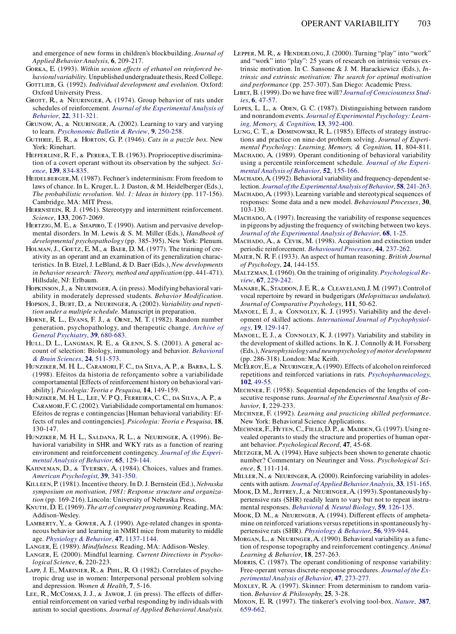and emergence of new forms in children's blockbuilding. *Journal of Applied Behavior Analysis*, **6**, 209-217.

- Gorka, E. (1993). *Within session effects of ethanol on reinforced behavioral variability*. Unpublished undergraduate thesis, Reed College.
- GOTTLIEB, G. (1992). *Individual development and evolution*. Oxford: Oxford University Press.
- GROTT, R., & NEURINGER, A. (1974). Group behavior of rats under schedules of reinforcement. *[Journal of the Experimental Analysis of](http://www.ingentaselect.com/rpsv/cgi-bin/linker?ext=a&reqidx=/0022-5002^28^2922L.311[aid=4710528]) Behavior*, **22**[, 311-321.](http://www.ingentaselect.com/rpsv/cgi-bin/linker?ext=a&reqidx=/0022-5002^28^2922L.311[aid=4710528])
- GRUNOW, A., & NEURINGER, A. (2002). Learning to vary and varying to learn. *[Psychonomic Bulletin & Review](http://www.ingentaselect.com/rpsv/cgi-bin/linker?ext=a&reqidx=/1069-9384^28^299L.250[aid=4710529])*, **9**, 250-258.
- Guthrie, E. R., & Horton, G. P. (1946). *Cats in a puzzle box*. New York: Rinehart.
- HEFFERLINE, R. F., & PERERA, T. B. (1963). Proprioceptive discrimination of a covert operant without its observation by the subject. *[Sci](http://www.ingentaselect.com/rpsv/cgi-bin/linker?ext=a&reqidx=/0036-8075^28^29139L.834[aid=4710530]) ence*, **139**[, 834-835.](http://www.ingentaselect.com/rpsv/cgi-bin/linker?ext=a&reqidx=/0036-8075^28^29139L.834[aid=4710530])
- HEIDELBERGER, M. (1987). Fechner's indeterminism: From freedom to laws of chance. In L. Kruger, L. J. Daston, & M. Heidelberger (Eds.), *The probabilistic revolution. Vol. 1: Ideas in history* (pp. 117-156). Cambridge, MA: MIT Press.
- HERRNSTEIN, R. J. (1961). Stereotypy and intermittent reinforcement. *Science*, **133**, 2067-2069.
- HERTZIG, M. E., & SHAPIRO, T. (1990). Autism and pervasive developmental disorders. In M. Lewis & S. M. Miller (Eds.), *Handbook of developmental psychopathology* (pp. 385-395). New York: Plenum.
- HOLMAN, J., GOETZ, E. M., & BAER, D. M. (1977). The training of creativity as an operant and an examination of its generalization characteristics. In B. Etzel, J. LeBland, & D. Baer (Eds.), *New developments in behavior research: Theory, method and application* (pp. 441-471). Hillsdale, NJ: Erlbaum.
- Hopkinson, J., & Neuringer, A. (in press). Modifying behavioral variability in moderately depressed students. *Behavior Modification*.
- Hopson, J., Burt, D., & Neuringer, A. (2002). *Variability and repetition under a multiple schedule*. Manuscript in preparation.
- Horne, R. L., Evans, F. J., & Orne, M. T. (1982). Random number generation, psychopathology, and therapeutic change. *[Archive of](http://www.ingentaselect.com/rpsv/cgi-bin/linker?ext=a&reqidx=/0003-990X^28^2939L.680[aid=4710531]) [General Psychiatry](http://www.ingentaselect.com/rpsv/cgi-bin/linker?ext=a&reqidx=/0003-990X^28^2939L.680[aid=4710531])*, **39**, 680-683.
- HULL, D. L., LANGMAN, R. E., & GLENN, S. S. (2001). A general account of selection: Biology, immunology and behavior. *[Behavioral](http://www.ingentaselect.com/rpsv/cgi-bin/linker?ext=a&reqidx=/0140-525X^28^2924L.511[aid=4710532]) [& Brain Sciences](http://www.ingentaselect.com/rpsv/cgi-bin/linker?ext=a&reqidx=/0140-525X^28^2924L.511[aid=4710532])*, **24**, 511-573.
- Hunziker, M. H. L., Caramori, F. C., da Silva, A. P., & Barba, L. S. (1998). Efeitos da historia de reforçamento sobre a variabilidade comportamental [Effects of reinforcement history on behavioral variability]. *Psicologia: Teoria e Pesquisa*, **14**, 149-159.
- Hunziker, M. H. L., Lee, V. P Q., Ferreira, C. C., da Silva, A. P., & Caramori, F. C. (2002). Variabilidade comportamental em humanos: Efeitos de regras e contingencias [Human behavioral variability: Effects of rules and contingencies]. *Psicologia: Teoria e Pesquisa*, **18**, 130-147.
- Hunziker, M. H. L., Saldana, R. L., & Neuringer, A. (1996). Behavioral variability in SHR and WKY rats as a function of rearing environment and reinforcement contingency. *[Journal of the Experi](http://www.ingentaselect.com/rpsv/cgi-bin/linker?ext=a&reqidx=/0022-5002^28^2965L.129[aid=4710535])[mental Analysis of Behavior](http://www.ingentaselect.com/rpsv/cgi-bin/linker?ext=a&reqidx=/0022-5002^28^2965L.129[aid=4710535])*, **65**, 129-144.
- KAHNEMAN, D., & TVERSKY, A. (1984). Choices, values and frames. *[American Psychologist](http://www.ingentaselect.com/rpsv/cgi-bin/linker?ext=a&reqidx=/0003-066X^28^2939L.341[aid=57181])*, **39**, 341-350.
- Killeen, P. (1981). Incentive theory. In D. J. Bernstein (Ed.), *Nebraska symposium on motivation, 1981: Response structure and organization* (pp. 169-216). Lincoln: University of Nebraska Press.
- Knuth, D. E. (1969). *The art of computer programming*. Reading, MA: Addison-Wesley.
- LAMBERTY, Y., & GOWER, A. J. (1990). Age-related changes in spontaneous behavior and learning in NMRI mice from maturity to middle age. *[Physiology & Behavior](http://www.ingentaselect.com/rpsv/cgi-bin/linker?ext=a&reqidx=/0031-9384^28^2947L.1137[aid=4710536])*, **47**, 1137-1144.
- Langer, E. (1989). *Mindfulness*. Reading, MA: Addison-Wesley.
- Langer, E. (2000). Mindful learning. *Current Directions in Psychological Science*, **6**, 220-223.
- Lapp, J. E., Marinier, R., & Pihl, R. O. (1982). Correlates of psychotropic drug use in women: Interpersonal personal problem solving and depression. *Women & Health*, **7**, 5-16.
- Lee, R., McComas, J. J., & Jawor, J. (in press). The effects of differential reinforcement on varied verbal responding by individuals with autism to social questions. *Journal of Applied Behavioral Analysis*.
- LEPPER, M. R., & HENDERLONG, J. (2000). Turning "play" into "work" and "work" into "play": 25 years of research on intrinsic versus extrinsic motivation. In C. Sansone & J. M. Harackiewicz (Eds.), *Intrinsic and extrinsic motivation: The search for optimal motivation and performance* (pp. 257-307). San Diego: Academic Press.
- LIBET, B. (1999). Do we have free will? *[Journal of Consciousness Stud](http://www.ingentaselect.com/rpsv/cgi-bin/linker?ext=a&reqidx=/1355-8250^28^296L.47[aid=4710539])ies*, **6**[, 47-57.](http://www.ingentaselect.com/rpsv/cgi-bin/linker?ext=a&reqidx=/1355-8250^28^296L.47[aid=4710539])
- LOPES, L. L.,  $\&$  ODEN, G. C. (1987). Distinguishing between random and nonrandom events. *[Journal of Experimental Psychology: Learn](http://www.ingentaselect.com/rpsv/cgi-bin/linker?ext=a&reqidx=/0278-7393^28^2913L.392[aid=298459])[ing, Memory, & Cognition](http://www.ingentaselect.com/rpsv/cgi-bin/linker?ext=a&reqidx=/0278-7393^28^2913L.392[aid=298459])*, **13**, 392-400.
- Lung, C. T., & Dominowski, R. L. (1985). Effects of strategy instructions and practice on nine-dot problem solving. *Journal of Experimental Psychology: Learning, Memory, & Cognition*, **11**, 804-811.
- MACHADO, A. (1989). Operant conditioning of behavioral variability using a percentile reinforcement schedule. *[Journal of the Experi](http://www.ingentaselect.com/rpsv/cgi-bin/linker?ext=a&reqidx=/0022-5002^28^2952L.155[aid=861541])[mental Analysis of Behavior](http://www.ingentaselect.com/rpsv/cgi-bin/linker?ext=a&reqidx=/0022-5002^28^2952L.155[aid=861541])*, **52**, 155-166.
- MACHADO, A. (1992). Behavioral variability and frequency-dependent selection. *[Journal of the Experimental Analysis of Behavior](http://www.ingentaselect.com/rpsv/cgi-bin/linker?ext=a&reqidx=/0022-5002^28^2958L.241[aid=4710541])*, **58**, 241-263.
- MACHADO, A. (1993). Learning variable and stereotypical sequences of responses: Some data and a new model. *Behavioural Processes*, **30**, 103-130.
- MACHADO, A. (1997). Increasing the variability of response sequences in pigeons by adjusting the frequency of switching between two keys. *[Journal of the Experimental Analysis of Behavior](http://www.ingentaselect.com/rpsv/cgi-bin/linker?ext=a&reqidx=/0022-5002^28^2968L.1[aid=1119020])*, **68**, 1-25.
- MACHADO, A., & CEVIK, M. (1998). Acquisition and extinction under periodic reinforcement. *[Behavioural Processes](http://www.ingentaselect.com/rpsv/cgi-bin/linker?ext=a&reqidx=/0376-6357^28^2944L.237[aid=4710543])*, **44**, 237-262.
- Maier, N. R. F. (1933). An aspect of human reasoning. *British Journal of Psychology*, **24**, 144-155.
- Maltzman, I. (1960). On the training of originality. *[Psychological Re](http://www.ingentaselect.com/rpsv/cgi-bin/linker?ext=a&reqidx=/0033-295X^28^2967L.229[aid=1119021])view*, **67**[, 229-242.](http://www.ingentaselect.com/rpsv/cgi-bin/linker?ext=a&reqidx=/0033-295X^28^2967L.229[aid=1119021])
- MANABE, K., STADDON, J. E. R., & CLEAVELAND, J. M. (1997). Control of vocal repertoire by reward in budgerigars (*Melopsittacus undulatus*). *Journal of Comparative Psychology*, **111**, 50-62.
- MANOEL, E. J., & CONNOLLY, K. J. (1995). Variability and the development of skilled actions. *[International Journal of Psychophysiol](http://www.ingentaselect.com/rpsv/cgi-bin/linker?ext=a&reqidx=/0167-8760^28^2919L.129[aid=2861713])ogy*, **19**[, 129-147.](http://www.ingentaselect.com/rpsv/cgi-bin/linker?ext=a&reqidx=/0167-8760^28^2919L.129[aid=2861713])
- MANOEL, E. J., & CONNOLLY, K. J. (1997). Variability and stability in the development of skilled actions. In K. J. Connolly & H. Forssberg (Eds.), *Neurophysiology and neuropsychology of motor development* (pp. 286-318). London: Mac Keith.
- McElroy, E., & Neuringer, A. (1990). Effects of alcohol on reinforced repetitions and reinforced variations in rats. *[Psychopharmacology](http://www.ingentaselect.com/rpsv/cgi-bin/linker?ext=a&reqidx=/0033-3158^28^29102L.49[aid=4710546])*, **102**[, 49-55.](http://www.ingentaselect.com/rpsv/cgi-bin/linker?ext=a&reqidx=/0033-3158^28^29102L.49[aid=4710546])
- Mechner, F. (1958). Sequential dependencies of the lengths of con secutive response runs. *Journal of the Experimental Analysis of Behavior*, **1**, 229-233.
- Mechner, F. (1992). *Learning and practicing skilled performance*. New York: Behavioral Science Applications.
- MECHNER, F., HYTEN, C., FIELD, D. P., & MADDEN, G. (1997). Using revealed operants to study the structure and properties of human operant behavior. *Psychological Record*, **47**, 45-68.
- METZGER, M. A. (1994). Have subjects been shown to generate chaotic number? Commentary on Neuringer and Voss. *Psychological Sci ence*, **5**, 111-114.
- MILLER, N., & NEURINGER, A. (2000). Reinforcing variability in adolescents with autism. *[Journal of Applied Behavior Analysis](http://www.ingentaselect.com/rpsv/cgi-bin/linker?ext=a&reqidx=/0021-8855^28^2933L.151[aid=4710550])*, **33**, 151-165.
- MOOK, D. M., JEFFREY, J., & NEURINGER, A. (1993). Spontaneously hypertensive rats (SHR) readily learn to vary but not to repeat instrumental responses. *[Behavioral & Neural Biology](http://www.ingentaselect.com/rpsv/cgi-bin/linker?ext=a&reqidx=/0163-1047^28^2959L.126[aid=4710551])*, **59**, 126-135.
- MOOK, D. M., & NEURINGER, A. (1994). Different effects of amphetamine on reinforced variations versus repetitions in spontaneously hypertensive rats (SHR). *[Physiology & Behavior](http://www.ingentaselect.com/rpsv/cgi-bin/linker?ext=a&reqidx=/0031-9384^28^2956L.939[aid=4710552])*, **56**, 939-944.
- MORGAN, L., & NEURINGER, A. (1990). Behavioral variability as a function of response topography and reinforcement contingency. *Animal Learning & Behavior*, **18**, 257-263.
- MORRIS, C. (1987). The operant conditioning of response variability: Free-operant versus discrete-response procedures. *[Journal of the Ex](http://www.ingentaselect.com/rpsv/cgi-bin/linker?ext=a&reqidx=/0022-5002^28^2947L.273[aid=4710554])[perimental Analysis of Behavior](http://www.ingentaselect.com/rpsv/cgi-bin/linker?ext=a&reqidx=/0022-5002^28^2947L.273[aid=4710554])*, **47**, 273-277.
- Moxley, R. A. (1997). Skinner: From determinism to random variation. *Behavior & Philosophy*, **25**, 3-28.
- Moxon, E. R. (1997). The tinkerer's evolving tool-box. *[Nature](http://www.ingentaselect.com/rpsv/cgi-bin/linker?ext=a&reqidx=/0028-0836^28^29387L.659[aid=4710556])*, **387**, [659-662.](http://www.ingentaselect.com/rpsv/cgi-bin/linker?ext=a&reqidx=/0028-0836^28^29387L.659[aid=4710556])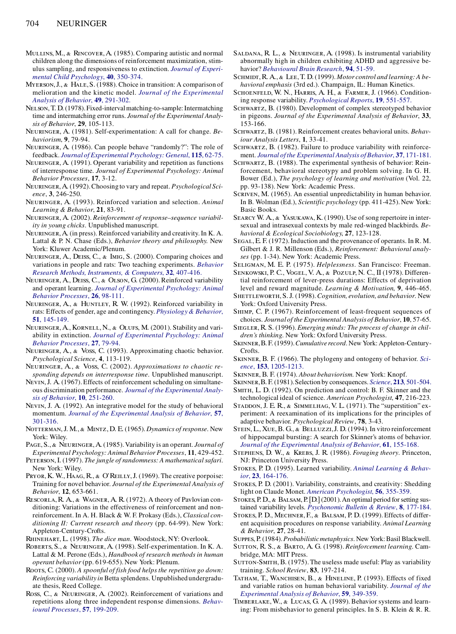- MULLINS, M., & RINCOVER, A. (1985). Comparing autistic and normal children along the dimensions of reinforcement maximization, stimulus sampling, and responsiveness to extinction. *[Journal of Experi](http://www.ingentaselect.com/rpsv/cgi-bin/linker?ext=a&reqidx=/0022-0965^28^2940L.350[aid=4710573])[mental Child Psychology](http://www.ingentaselect.com/rpsv/cgi-bin/linker?ext=a&reqidx=/0022-0965^28^2940L.350[aid=4710573])*, **40**, 350-374.
- MYERSON, J., & HALE, S. (1988). Choice in transition: A comparison of melioration and the kinetic model. *[Journal of the Experimental](http://www.ingentaselect.com/rpsv/cgi-bin/linker?ext=a&reqidx=/0022-5002^28^2949L.291[aid=2291512]) [Analysis of Behavior](http://www.ingentaselect.com/rpsv/cgi-bin/linker?ext=a&reqidx=/0022-5002^28^2949L.291[aid=2291512])*, **49**, 291-302.
- Nelson, T. D. (1978). Fixed-interval matching-to-sample: Intermatching time and intermatching error runs. *Journal of the Experimental Analysis of Behavior*, **29**, 105-113.
- Neuringer, A. (1981). Self-experimentation: A call for change. *Behaviorism*, **9**, 79-94.
- Neuringer, A. (1986). Can people behave "randomly?": The role of feedback. *[Journal of Experimental Psychology: General](http://www.ingentaselect.com/rpsv/cgi-bin/linker?ext=a&reqidx=/0096-3445^28^29115L.62[aid=17878])*, **115**, 62-75.
- NEURINGER, A. (1991). Operant variability and repetition as functions of interresponse time. *Journal of Experimental Psychology: Animal Behavior Processes*, **17**, 3-12.
- Neuringer, A. (1992). Choosing to vary and repeat. *Psychological Sci ence*, **3**, 246-250.
- Neuringer, A. (1993). Reinforced variation and selection. *Animal Learning & Behavior*, **21**, 83-91.
- Neuringer, A. (2002). *Reinforcement of response–sequence variability in young chicks*. Unpublished manuscript.
- Neuringer, A. (in press). Reinforced variability and creativity. In K. A. Lattal & P. N. Chase (Eds.), *Behavior theory and philosophy*. New York: Kluwer Academic/Plenum.
- Neuringer, A., Deiss, C., & Imig, S. (2000). Comparing choices and variations in people and rats: Two teaching experiments. *[Behavior](http://www.ingentaselect.com/rpsv/cgi-bin/linker?ext=a&reqidx=/0743-3808^28^2932L.407[aid=4710577]) [Research Methods, Instruments, & Computers](http://www.ingentaselect.com/rpsv/cgi-bin/linker?ext=a&reqidx=/0743-3808^28^2932L.407[aid=4710577])*, **32**, 407-416.
- Neuringer, A., Deiss, C., & Olson, G. (2000). Reinforced variability and operant learning. *[Journal of Experimental Psychology: Animal](http://www.ingentaselect.com/rpsv/cgi-bin/linker?ext=a&reqidx=/0097-7403^28^2926L.98[aid=2861714]) [Behavior Processes](http://www.ingentaselect.com/rpsv/cgi-bin/linker?ext=a&reqidx=/0097-7403^28^2926L.98[aid=2861714])*, **26**, 98-111.
- Neuringer, A., & Huntley, R. W. (1992). Reinforced variability in rats: Effects of gender, age and contingency. *[Physiology & Behavior](http://www.ingentaselect.com/rpsv/cgi-bin/linker?ext=a&reqidx=/0031-9384^28^2951L.145[aid=4710578])*, **51**[, 145-149.](http://www.ingentaselect.com/rpsv/cgi-bin/linker?ext=a&reqidx=/0031-9384^28^2951L.145[aid=4710578])
- NEURINGER, A., KORNELL, N., & OLUFS, M. (2001). Stability and variability in extinction. *[Journal of Experimental Psychology: Animal](http://www.ingentaselect.com/rpsv/cgi-bin/linker?ext=a&reqidx=/0097-7403^28^2927L.79[aid=2861715]) [Behavior Processes](http://www.ingentaselect.com/rpsv/cgi-bin/linker?ext=a&reqidx=/0097-7403^28^2927L.79[aid=2861715])*, **27**, 79-94.
- Neuringer, A., & Voss, C. (1993). Approximating chaotic behavior. *Psychological Science*, **4**, 113-119.
- Neuringer, A., & Voss, C. (2002). *Approximations to chaotic re sponding depends on interresponse time*. Unpublished manuscript.
- Nevin, J. A. (1967). Effects of reinforcement scheduling on simultane ous discrimination performance. *[Journal of the Experimental Analy](http://www.ingentaselect.com/rpsv/cgi-bin/linker?ext=a&reqidx=/0022-5002^28^2910L.251[aid=4710580])[sis of Behavior](http://www.ingentaselect.com/rpsv/cgi-bin/linker?ext=a&reqidx=/0022-5002^28^2910L.251[aid=4710580])*, **10**, 251-260.
- Nevin, J. A. (1992). An integrative model for the study of behavioral momentum. *[Journal of the Experimental Analysis of Behavior](http://www.ingentaselect.com/rpsv/cgi-bin/linker?ext=a&reqidx=/0022-5002^28^2957L.301[aid=309785])*, **57**, [301-316.](http://www.ingentaselect.com/rpsv/cgi-bin/linker?ext=a&reqidx=/0022-5002^28^2957L.301[aid=309785])
- Notterman, J. M., & Mintz, D. E. (1965). *Dynamics of response*. New York: Wiley.
- Page, S., & Neuringer, A. (1985). Variability is an operant. *Journal of Experimental Psychology: Animal Behavior Processes*, **11**, 429-452.
- Peterson, I. (1997). *The jungle of randomness: A mathematical safari*. New York: Wiley.
- PRYOR, K. W., HAAG, R., & O'REILLY, J. (1969). The creative porpoise: Training for novel behavior. *Journal of the Experimental Analysis of Behavior*, **12**, 653-661.
- Rescorla, R. A., & Wagner, A. R. (1972). A theory of Pavlovian con ditioning: Variations in the effectiveness of reinforcement and nonreinforcement. In A. H. Black & W. F. Prokasy (Eds.), *Classical con ditioning II: Current research and theory* (pp. 64-99). New York: Appleton-Century-Crofts.
- Rhinehart, L. (1998). *The dice man*. Woodstock, NY: Overlook.
- Roberts, S., & Neuringer, A. (1998). Self-experimentation. In K. A. Lattal & M. Perone (Eds.), *Handbook of research methods in human operant behavior* (pp. 619-655). New York: Plenum.
- Roots, C. (2000). *A spoonful of fish food helps the repetition go down: Reinforcing variability in* Betta splendens. Unpublished undergraduate thesis, Reed College.
- Ross, C., & Neuringer, A. (2002). Reinforcement of variations and repetitions along three independent response dimensions. *[Behav](http://www.ingentaselect.com/rpsv/cgi-bin/linker?ext=a&reqidx=/0376-6357^28^2957L.199[aid=4710581])[ioural Processes](http://www.ingentaselect.com/rpsv/cgi-bin/linker?ext=a&reqidx=/0376-6357^28^2957L.199[aid=4710581])*, **57**, 199-209.
- SALDANA, R. L., & NEURINGER, A. (1998). Is instrumental variability abnormally high in children exhibiting ADHD and aggressive behavior? *[Behavioural Brain Research](http://www.ingentaselect.com/rpsv/cgi-bin/linker?ext=a&reqidx=/0166-4328^28^2994L.51[aid=1119027])*, **94**, 51-59.
- SCHMIDT, R. A., & LEE, T. D. (1999). *Motor control and learning: A behavioral emphasis* (3rd ed.). Champaign, IL: Human Kinetics.
- SCHOENFELD, W. N., HARRIS, A. H., & FARMER, J. (1966). Conditioning response variability. *[Psychological Reports](http://www.ingentaselect.com/rpsv/cgi-bin/linker?ext=a&reqidx=/0033-2941^28^2919L.551[aid=4710582])*, **19**, 551-557.
- SCHWARTZ, B. (1980). Development of complex stereotyped behavior in pigeons. *Journal of the Experimental Analysis of Behavior*, **33**, 153-166.
- Schwartz, B. (1981). Reinforcement creates behavioral units. *Behaviour Analysis Letters*, **1**, 33-41.
- SCHWARTZ, B. (1982). Failure to produce variability with reinforcement. *[Journal of the Experimental Analysis of Behavior](http://www.ingentaselect.com/rpsv/cgi-bin/linker?ext=a&reqidx=/0022-5002^28^2937L.171[aid=861564])*, **37**, 171-181.
- SCHWARTZ, B. (1988). The experimental synthesis of behavior: Reinforcement, behavioral stereotypy and problem solving. In G. H. Bower (Ed.), *The psychology of learning and motivation* (Vol. 22, pp. 93-138). New York: Academic Press.
- SCRIVEN, M. (1965). An essential unpredictability in human behavior. In B. Wolman (Ed.), *Scientific psychology* (pp. 411-425). New York: Basic Books.
- Searcy W. A., & Yasukawa, K. (1990). Use of song repertoire in intersexual and intrasexual contexts by male red-winged blackbirds*. Behavioral & Ecological Sociobiology*, **27**, 123-128.
- SEGAL, E. F. (1972). Induction and the provenance of operants. In R. M. Gilbert & J. R. Millenson (Eds.), *Reinforcement: Behavioral analy ses* (pp. 1-34). New York: Academic Press.
- Seligman, M. E. P. (1975). *Helplessness*. San Francisco: Freeman.
- SENKOWSKI, P. C., VOGEL, V. A., & POZULP, N. C., II (1978). Differential reinforcement of lever-press durations: Effects of deprivation level and reward magnitude. *Learning & Motivation*, **9**, 446-465.
- SHETTLEWORTH, S. J. (1998). *Cognition, evolution, and behavior*. New York: Oxford University Press.
- Shimp, C. P. (1967). Reinforcement of least-frequent sequences of choices. *Journal of the Experimental Analysis of Behavior*, **10**, 57-65.
- SIEGLER, R. S. (1996). *Emerging minds: The process of change in children's thinking*. New York: Oxford University Press.
- Skinner, B. F. (1959). *Cumulative record*. New York: Appleton-Century-Crofts.
- Skinner, B. F. (1966). The phylogeny and ontogeny of behavior. *[Sci](http://www.ingentaselect.com/rpsv/cgi-bin/linker?ext=a&reqidx=/0036-8075^28^29153L.1205[aid=4710587]) ence*, **153**[, 1205-1213.](http://www.ingentaselect.com/rpsv/cgi-bin/linker?ext=a&reqidx=/0036-8075^28^29153L.1205[aid=4710587])
- Skinner, B. F. (1974). *About behaviorism*. New York: Knopf.
- Skinner, B. F. (1981). Selection by consequences. *Science*, **213**[, 501-504.](http://www.ingentaselect.com/rpsv/cgi-bin/linker?ext=a&reqidx=/0036-8075^28^29213L.501[aid=311294])
- Smith, L. D. (1992). On prediction and control: B. F. Skinner and the technological ideal of science. *American Psychologist*, **47**, 216-223.
- STADDON, J. E. R., & SIMMELHAG, V. L. (1971). The "superstition" experiment: A reexamination of its implications for the principles of adaptive behavior. *Psychological Review*, **78**, 3-43.
- STEIN, L., XUE, B. G., & BELLUZZI, J. D. (1994). In vitro reinforcement of hippocampal bursting: A search for Skinner's atoms of behavior. *[Journal of the Experimental Analysis of Behavior](http://www.ingentaselect.com/rpsv/cgi-bin/linker?ext=a&reqidx=/0022-5002^28^2961L.155[aid=4710589])*, **61**, 155-168.
- Stephens, D. W., & Krebs, J. R. (1986). *Foraging theory*. Princeton, NJ: Princeton University Press.
- Stokes, P. D. (1995). Learned variability. *[Animal Learning & Behav](http://www.ingentaselect.com/rpsv/cgi-bin/linker?ext=a&reqidx=/0090-4996^28^2923L.164[aid=1119029])ior*, **23**[, 164-176.](http://www.ingentaselect.com/rpsv/cgi-bin/linker?ext=a&reqidx=/0090-4996^28^2923L.164[aid=1119029])
- Stokes, P. D. (2001). Variability, constraints, and creativity: Shedding light on Claude Monet. *[American Psychologist](http://www.ingentaselect.com/rpsv/cgi-bin/linker?ext=a&reqidx=/0003-066X^28^2956L.355[aid=4710590])*, **56**, 355-359.
- Stokes, P. D., & Balsam, P. [D.] (2001). An optimal period for setting sustained variability levels. *[Psychonomic Bulletin & Review](http://www.ingentaselect.com/rpsv/cgi-bin/linker?ext=a&reqidx=/1069-9384^28^298L.177[aid=4710591])*, **8**, 177-184.
- Stokes, P. D., Mechner, F., & Balsam, P. D. (1999). Effects of different acquisition procedures on response variability. *Animal Learning & Behavior*, **27**, 28-41.
- Suppes, P. (1984). *Probabilistic metaphysics*. New York: Basil Blackwell.
- Sutton, R. S., & Barto, A. G. (1998). *Reinforcement learning*. Cambridge, MA: MIT Press.
- SUTTON-SMITH, B. (1975). The useless made useful: Play as variability training. *School Review*, **83**, 197-214.
- Tatham, T., Wanchisen, B., & Hineline, P. (1993). Effects of fixed and variable ratios on human behavioral variability. *[Journal of the](http://www.ingentaselect.com/rpsv/cgi-bin/linker?ext=a&reqidx=/0022-5002^28^2959L.349[aid=1119033]) [Experimental Analysis of Behavior](http://www.ingentaselect.com/rpsv/cgi-bin/linker?ext=a&reqidx=/0022-5002^28^2959L.349[aid=1119033])*, **59**, 349-359.
- Timberlake, W., & Lucas, G. A. (1989). Behavior systems and learning: From misbehavior to general principles. In S. B. Klein & R. R.